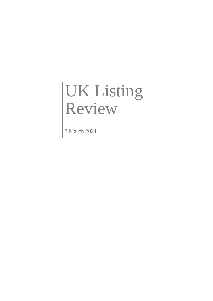# UK Listing Review

3 March 2021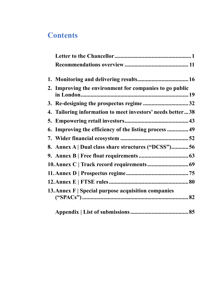# **Contents**

| 2. Improving the environment for companies to go public    |
|------------------------------------------------------------|
| 3. Re-designing the prospectus regime 32                   |
| 4. Tailoring information to meet investors' needs better38 |
|                                                            |
| 6. Improving the efficiency of the listing process 49      |
|                                                            |
| 8. Annex A   Dual class share structures ("DCSS")56        |
|                                                            |
|                                                            |
|                                                            |
|                                                            |
| 13. Annex F   Special purpose acquisition companies        |
|                                                            |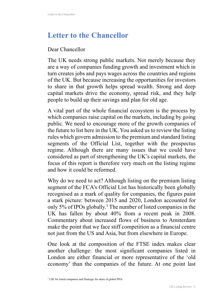# **Letter to the Chancellor**

#### Dear Chancellor

The UK needs strong public markets. Not merely because they are a way of companies funding growth and investment which in turn creates jobs and pays wages across the countries and regions of the UK. But because increasing the opportunities for investors to share in that growth helps spread wealth. Strong and deep capital markets drive the economy, spread risk, and they help people to build up their savings and plan for old age.

A vital part of the whole financial ecosystem is the process by which companies raise capital on the markets, including by going public. We need to encourage more of the growth companies of the future to list here in the UK. You asked us to review the listing rules which govern admission to the premium and standard listing segments of the Official List, together with the prospectus regime. Although there are many issues that we could have considered as part of strengthening the UK's capital markets, the focus of this report is therefore very much on the listing regime and how it could be reformed.

Why do we need to act? Although listing on the premium listing segment of the FCA's Official List has historically been globally recognised as a mark of quality for companies, the figures paint a stark picture: between 2015 and 2020, London accounted for only 5% of IPOs globally.<sup>1</sup> The number of listed companies in the UK has fallen by about 40% from a recent peak in 2008. Commentary about increased flows of business to Amsterdam make the point that we face stiff competition as a financial centre not just from the US and Asia, but from elsewhere in Europe.

One look at the composition of the FTSE index makes clear another challenge: the most significant companies listed in London are either financial or more representative of the 'old economy' than the companies of the future. At one point last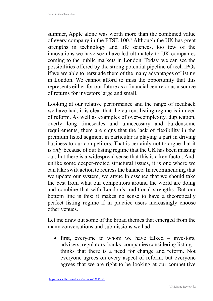summer, Apple alone was worth more than the combined value of every company in the FTSE 100.<sup>2</sup> Although the UK has great strengths in technology and life sciences, too few of the innovations we have seen have led ultimately to UK companies coming to the public markets in London. Today, we can see the possibilities offered by the strong potential pipeline of tech IPOs if we are able to persuade them of the many advantages of listing in London. We cannot afford to miss the opportunity that this represents either for our future as a financial centre or as a source of returns for investors large and small.

Looking at our relative performance and the range of feedback we have had, it is clear that the current listing regime is in need of reform. As well as examples of over-complexity, duplication, overly long timescales and unnecessary and burdensome requirements, there are signs that the lack of flexibility in the premium listed segment in particular is playing a part in driving business to our competitors. That is certainly not to argue that it is *only* because of our listing regime that the UK has been missing out, but there is a widespread sense that this is a key factor. And, unlike some deeper-rooted structural issues, it is one where we can take swift action to redress the balance. In recommending that we update our system, we argue in essence that we should take the best from what our competitors around the world are doing and combine that with London's traditional strengths. But our bottom line is this: it makes no sense to have a theoretically perfect listing regime if in practice users increasingly choose other venues.

Let me draw out some of the broad themes that emerged from the many conversations and submissions we had:

• first, everyone to whom we have talked – investors, advisers, regulators, banks, companies considering listing – thinks that there is a need for change and reform. Not everyone agrees on every aspect of reform, but everyone agrees that we are right to be looking at our competitive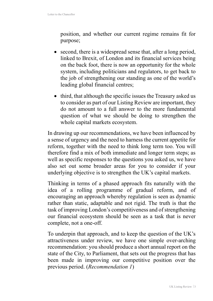position, and whether our current regime remains fit for purpose;

- second, there is a widespread sense that, after a long period, linked to Brexit, of London and its financial services being on the back foot, there is now an opportunity for the whole system, including politicians and regulators, to get back to the job of strengthening our standing as one of the world's leading global financial centres;
- third, that although the specific issues the Treasury asked us to consider as part of our Listing Review are important, they do not amount to a full answer to the more fundamental question of what we should be doing to strengthen the whole capital markets ecosystem.

In drawing up our recommendations, we have been influenced by a sense of urgency and the need to harness the current appetite for reform, together with the need to think long term too. You will therefore find a mix of both immediate and longer term steps; as well as specific responses to the questions you asked us, we have also set out some broader areas for you to consider if your underlying objective is to strengthen the UK's capital markets.

Thinking in terms of a phased approach fits naturally with the idea of a rolling programme of gradual reform, and of encouraging an approach whereby regulation is seen as dynamic rather than static, adaptable and not rigid. The truth is that the task of improving London's competitiveness and of strengthening our financial ecosystem should be seen as a task that is never complete, not a one-off.

To underpin that approach, and to keep the question of the UK's attractiveness under review, we have one simple over-arching recommendation: you should produce a short annual report on the state of the City, to Parliament, that sets out the progress that has been made in improving our competitive position over the previous period. (*Recommendation 1*)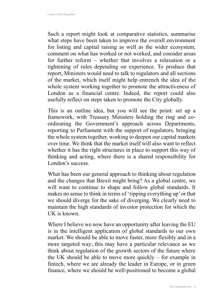Such a report might look at comparative statistics, summarise what steps have been taken to improve the overall environment for listing and capital raising as well as the wider ecosystem, comment on what has worked or not worked, and consider areas for further reform – whether that involves a relaxation or a tightening of rules depending on experience. To produce that report, Ministers would need to talk to regulators and all sections of the market, which itself might help entrench the idea of the whole system working together to promote the attractiveness of London as a financial centre. Indeed, the report could also usefully reflect on steps taken to promote the City globally.

This is an outline idea, but you will see the point: set up a framework, with Treasury Ministers holding the ring and coordinating the Government's approach across Departments, reporting to Parliament with the support of regulators, bringing the whole system together, working to deepen our capital markets over time. We think that the market itself will also want to reflect whether it has the right structures in place to support this way of thinking and acting, where there is a shared responsibility for London's success.

What has been our general approach to thinking about regulation and the changes that Brexit might bring? As a global centre, we will want to continue to shape and follow global standards. It makes no sense to think in terms of 'ripping everything up' or that we should diverge for the sake of diverging. We clearly need to maintain the high standards of investor protection for which the UK is known.

Where I believe we now have an opportunity after leaving the EU is in the intelligent application of global standards to our own market. We should be able to move faster, more flexibly and in a more targeted way; this may have a particular relevance as we think about regulation of the growth sectors of the future where the UK should be able to move more quickly – for example in fintech, where we are already the leader in Europe, or in green finance, where we should be well-positioned to become a global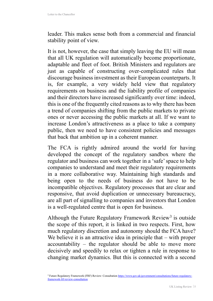leader. This makes sense both from a commercial and financial stability point of view.

It is not, however, the case that simply leaving the EU will mean that all UK regulation will automatically become proportionate, adaptable and fleet of foot. British Ministers and regulators are just as capable of constructing over-complicated rules that discourage business investment as their European counterparts. It is, for example, a very widely held view that regulatory requirements on business and the liability profile of companies and their directors have increased significantly over time: indeed, this is one of the frequently cited reasons as to why there has been a trend of companies shifting from the public markets to private ones or never accessing the public markets at all. If we want to increase London's attractiveness as a place to take a company public, then we need to have consistent policies and messages that back that ambition up in a coherent manner.

The FCA is rightly admired around the world for having developed the concept of the regulatory sandbox where the regulator and business can work together in a 'safe' space to help companies to understand and meet their regulatory requirements in a more collaborative way. Maintaining high standards and being open to the needs of business do not have to be incompatible objectives. Regulatory processes that are clear and responsive, that avoid duplication or unnecessary bureaucracy, are all part of signalling to companies and investors that London is a well-regulated centre that is open for business.

Although the Future Regulatory Framework Review<sup>3</sup> is outside the scope of this report, it is linked in two respects. First, how much regulatory discretion and autonomy should the FCA have? We believe it is an attractive idea in principle that – with proper accountability – the regulator should be able to move more decisively and speedily to relax or tighten a rule in response to changing market dynamics. But this is connected with a second

<sup>&</sup>lt;sup>3</sup> Future Regulatory Framework (FRF) Review: Consultation https://www.gov.uk/government/consultations/future-regulatoryframework-frf-review-consultation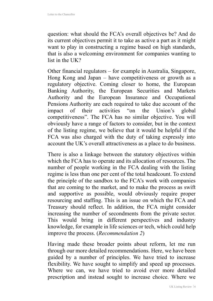question: what should the FCA's overall objectives be? And do its current objectives permit it to take as active a part as it might want to play in constructing a regime based on high standards, that is also a welcoming environment for companies wanting to list in the UK?

Other financial regulators – for example in Australia, Singapore, Hong Kong and Japan – have competitiveness or growth as a regulatory objective. Coming closer to home, the European Banking Authority, the European Securities and Markets Authority and the European Insurance and Occupational Pensions Authority are each required to take due account of the impact of their activities "on the Union's global competitiveness". The FCA has no similar objective. You will obviously have a range of factors to consider, but in the context of the listing regime, we believe that it would be helpful if the FCA was also charged with the duty of taking expressly into account the UK's overall attractiveness as a place to do business.

There is also a linkage between the statutory objectives within which the FCA has to operate and its allocation of resources. The number of people working in the FCA dealing with the listing regime is less than one per cent of the total headcount. To extend the principle of the sandbox to the FCA's work with companies that are coming to the market, and to make the process as swift and supportive as possible, would obviously require proper resourcing and staffing. This is an issue on which the FCA and Treasury should reflect. In addition, the FCA might consider increasing the number of secondments from the private sector. This would bring in different perspectives and industry knowledge, for example in life sciences or tech, which could help improve the process. (*Recommendation 2*)

Having made these broader points about reform, let me run through our more detailed recommendations. Here, we have been guided by a number of principles. We have tried to increase flexibility. We have sought to simplify and speed up processes. Where we can, we have tried to avoid ever more detailed prescription and instead sought to increase choice. Where we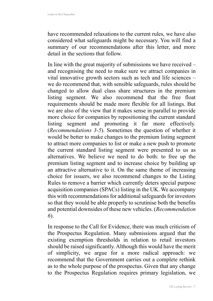have recommended relaxations to the current rules, we have also considered what safeguards might be necessary. You will find a summary of our recommendations after this letter, and more detail in the sections that follow.

In line with the great majority of submissions we have received – and recognising the need to make sure we attract companies in vital innovative growth sectors such as tech and life sciences – we do recommend that, with sensible safeguards, rules should be changed to allow dual class share structures in the premium listing segment. We also recommend that the free float requirements should be made more flexible for all listings. But we are also of the view that it makes sense in parallel to provide more choice for companies by repositioning the current standard listing segment and promoting it far more effectively. (*Recommendations 3-5*). Sometimes the question of whether it would be better to make changes to the premium listing segment to attract more companies to list or make a new push to promote the current standard listing segment were presented to us as alternatives. We believe we need to do both: to free up the premium listing segment and to increase choice by building up an attractive alternative to it. On the same theme of increasing choice for issuers, we also recommend changes to the Listing Rules to remove a barrier which currently deters special purpose acquisition companies (SPACs) listing in the UK. We accompany this with recommendations for additional safeguards for investors so that they would be able properly to scrutinise both the benefits and potential downsides of these new vehicles. (*Recommendation 6*).

In response to the Call for Evidence, there was much criticism of the Prospectus Regulation. Many submissions argued that the existing exemption thresholds in relation to retail investors should be raised significantly. Although this would have the merit of simplicity, we argue for a more radical approach: we recommend that the Government carries out a complete rethink as to the whole purpose of the prospectus. Given that any change to the Prospectus Regulation requires primary legislation, we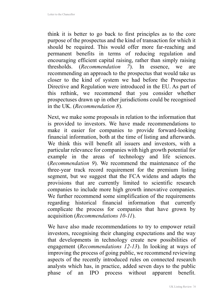think it is better to go back to first principles as to the core purpose of the prospectus and the kind of transaction for which it should be required. This would offer more far-reaching and permanent benefits in terms of reducing regulation and encouraging efficient capital raising, rather than simply raising thresholds. (*Recommendation 7*). In essence, we are recommending an approach to the prospectus that would take us closer to the kind of system we had before the Prospectus Directive and Regulation were introduced in the EU. As part of this rethink, we recommend that you consider whether prospectuses drawn up in other jurisdictions could be recognised in the UK. (*Recommendation 8*).

Next, we make some proposals in relation to the information that is provided to investors. We have made recommendations to make it easier for companies to provide forward-looking financial information, both at the time of listing and afterwards. We think this will benefit all issuers and investors, with a particular relevance for companies with high growth potential for example in the areas of technology and life sciences. (*Recommendation 9*). We recommend the maintenance of the three-year track record requirement for the premium listing segment, but we suggest that the FCA widens and adapts the provisions that are currently limited to scientific research companies to include more high growth innovative companies. We further recommend some simplification of the requirements regarding historical financial information that currently complicate the process for companies that have grown by acquisition (*Recommendations 10-11*).

We have also made recommendations to try to empower retail investors, recognising their changing expectations and the way that developments in technology create new possibilities of engagement (*Recommendations 12-13*). In looking at ways of improving the process of going public, we recommend reviewing aspects of the recently introduced rules on connected research analysts which has, in practice, added seven days to the public phase of an IPO process without apparent benefit.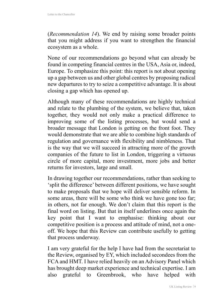(*Recommendation 14*). We end by raising some broader points that you might address if you want to strengthen the financial ecosystem as a whole.

None of our recommendations go beyond what can already be found in competing financial centres in the USA, Asia or, indeed, Europe. To emphasize this point: this report is not about opening up a gap between us and other global centres by proposing radical new departures to try to seize a competitive advantage. It is about closing a gap which has opened up.

Although many of these recommendations are highly technical and relate to the plumbing of the system, we believe that, taken together, they would not only make a practical difference to improving some of the listing processes, but would send a broader message that London is getting on the front foot. They would demonstrate that we are able to combine high standards of regulation and governance with flexibility and nimbleness. That is the way that we will succeed in attracting more of the growth companies of the future to list in London, triggering a virtuous circle of more capital, more investment, more jobs and better returns for investors, large and small.

In drawing together our recommendations, rather than seeking to 'split the difference' between different positions, we have sought to make proposals that we hope will deliver sensible reform. In some areas, there will be some who think we have gone too far; in others, not far enough. We don't claim that this report is the final word on listing. But that in itself underlines once again the key point that I want to emphasise: thinking about our competitive position is a process and attitude of mind, not a oneoff. We hope that this Review can contribute usefully to getting that process underway.

I am very grateful for the help I have had from the secretariat to the Review, organised by EY, which included secondees from the FCA and HMT. I have relied heavily on an Advisory Panel which has brought deep market experience and technical expertise. I am also grateful to Greenbrook, who have helped with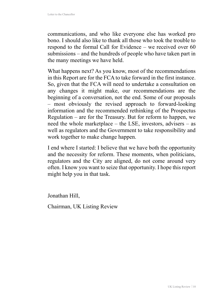communications, and who like everyone else has worked pro bono. I should also like to thank all those who took the trouble to respond to the formal Call for Evidence – we received over 60 submissions – and the hundreds of people who have taken part in the many meetings we have held.

What happens next? As you know, most of the recommendations in this Report are for the FCA to take forward in the first instance. So, given that the FCA will need to undertake a consultation on any changes it might make, our recommendations are the beginning of a conversation, not the end. Some of our proposals – most obviously the revised approach to forward-looking information and the recommended rethinking of the Prospectus Regulation – are for the Treasury. But for reform to happen, we need the whole marketplace – the LSE, investors, advisers – as well as regulators and the Government to take responsibility and work together to make change happen.

I end where I started: I believe that we have both the opportunity and the necessity for reform. These moments, when politicians, regulators and the City are aligned, do not come around very often. I know you want to seize that opportunity. I hope this report might help you in that task.

Jonathan Hill,

Chairman, UK Listing Review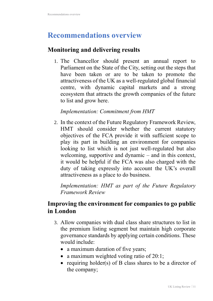# **Recommendations overview**

# **Monitoring and delivering results**

1. The Chancellor should present an annual report to Parliament on the State of the City, setting out the steps that have been taken or are to be taken to promote the attractiveness of the UK as a well-regulated global financial centre, with dynamic capital markets and a strong ecosystem that attracts the growth companies of the future to list and grow here.

## *Implementation: Commitment from HMT*

2. In the context of the Future Regulatory Framework Review, HMT should consider whether the current statutory objectives of the FCA provide it with sufficient scope to play its part in building an environment for companies looking to list which is not just well-regulated but also welcoming, supportive and dynamic – and in this context, it would be helpful if the FCA was also charged with the duty of taking expressly into account the UK's overall attractiveness as a place to do business.

*Implementation: HMT as part of the Future Regulatory Framework Review* 

# **Improving the environment for companies to go public in London**

- 3. Allow companies with dual class share structures to list in the premium listing segment but maintain high corporate governance standards by applying certain conditions. These would include:
	- a maximum duration of five years;
	- a maximum weighted voting ratio of 20:1;
	- requiring holder(s) of B class shares to be a director of the company;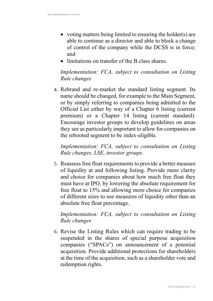- voting matters being limited to ensuring the holder(s) are able to continue as a director and able to block a change of control of the company while the DCSS is in force; and
- limitations on transfer of the B class shares.

#### *Implementation: FCA, subject to consultation on Listing Rule changes*

4. Rebrand and re-market the standard listing segment. Its name should be changed, for example to the Main Segment, or by simply referring to companies being admitted to the Official List either by way of a Chapter 6 listing (current premium) or a Chapter 14 listing (current standard). Encourage investor groups to develop guidelines on areas they see as particularly important to allow for companies on the rebooted segment to be index-eligible.

*Implementation: FCA, subject to consultation on Listing Rule changes, LSE, investor groups.*

5. Reassess free float requirements to provide a better measure of liquidity at and following listing. Provide more clarity and choice for companies about how much free float they must have at IPO, by lowering the absolute requirement for free float to 15% and allowing more choice for companies of different sizes to use measures of liquidity other than an absolute free float percentage.

## *Implementation: FCA, subject to consultation on Listing Rule changes*

6. Revise the Listing Rules which can require trading to be suspended in the shares of special purpose acquisition companies ("SPACs") on announcement of a potential acquisition. Provide additional protections for shareholders at the time of the acquisition, such as a shareholder vote and redemption rights.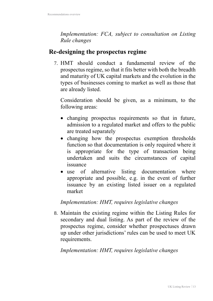*Implementation: FCA, subject to consultation on Listing Rule changes*

## **Re-designing the prospectus regime**

7. HMT should conduct a fundamental review of the prospectus regime, so that it fits better with both the breadth and maturity of UK capital markets and the evolution in the types of businesses coming to market as well as those that are already listed.

Consideration should be given, as a minimum, to the following areas:

- changing prospectus requirements so that in future, admission to a regulated market and offers to the public are treated separately
- changing how the prospectus exemption thresholds function so that documentation is only required where it is appropriate for the type of transaction being undertaken and suits the circumstances of capital issuance
- use of alternative listing documentation where appropriate and possible, e.g. in the event of further issuance by an existing listed issuer on a regulated market

## *Implementation: HMT, requires legislative changes*

8. Maintain the existing regime within the Listing Rules for secondary and dual listing. As part of the review of the prospectus regime, consider whether prospectuses drawn up under other jurisdictions' rules can be used to meet UK requirements.

*Implementation: HMT, requires legislative changes*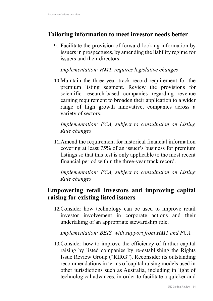# **Tailoring information to meet investor needs better**

9. Facilitate the provision of forward-looking information by issuers in prospectuses, by amending the liability regime for issuers and their directors.

## *Implementation: HMT, requires legislative changes*

10.Maintain the three-year track record requirement for the premium listing segment. Review the provisions for scientific research-based companies regarding revenue earning requirement to broaden their application to a wider range of high growth innovative, companies across a variety of sectors.

*Implementation: FCA, subject to consultation on Listing Rule changes*

11.Amend the requirement for historical financial information covering at least 75% of an issuer's business for premium listings so that this test is only applicable to the most recent financial period within the three-year track record.

*Implementation: FCA, subject to consultation on Listing Rule changes*

# **Empowering retail investors and improving capital raising for existing listed issuers**

12.Consider how technology can be used to improve retail investor involvement in corporate actions and their undertaking of an appropriate stewardship role.

*Implementation: BEIS, with support from HMT and FCA* 

13.Consider how to improve the efficiency of further capital raising by listed companies by re-establishing the Rights Issue Review Group ("RIRG"). Reconsider its outstanding recommendations in terms of capital raising models used in other jurisdictions such as Australia, including in light of technological advances, in order to facilitate a quicker and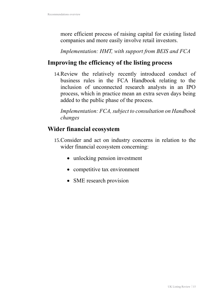more efficient process of raising capital for existing listed companies and more easily involve retail investors.

*Implementation: HMT, with support from BEIS and FCA* 

# **Improving the efficiency of the listing process**

14.Review the relatively recently introduced conduct of business rules in the FCA Handbook relating to the inclusion of unconnected research analysts in an IPO process, which in practice mean an extra seven days being added to the public phase of the process.

*Implementation: FCA, subject to consultation on Handbook changes*

# **Wider financial ecosystem**

- 15.Consider and act on industry concerns in relation to the wider financial ecosystem concerning:
	- unlocking pension investment
	- competitive tax environment
	- SME research provision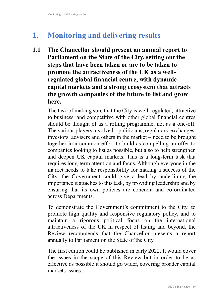# **1. Monitoring and delivering results**

**1.1 The Chancellor should present an annual report to Parliament on the State of the City, setting out the steps that have been taken or are to be taken to promote the attractiveness of the UK as a wellregulated global financial centre, with dynamic capital markets and a strong ecosystem that attracts the growth companies of the future to list and grow here.**

The task of making sure that the City is well-regulated, attractive to business, and competitive with other global financial centres should be thought of as a rolling programme, not as a one-off. The various players involved – politicians, regulators, exchanges, investors, advisers and others in the market – need to be brought together in a common effort to build as compelling an offer to companies looking to list as possible, but also to help strengthen and deepen UK capital markets. This is a long-term task that requires long-term attention and focus. Although everyone in the market needs to take responsibility for making a success of the City, the Government could give a lead by underlining the importance it attaches to this task, by providing leadership and by ensuring that its own policies are coherent and co-ordinated across Departments.

To demonstrate the Government's commitment to the City, to promote high quality and responsive regulatory policy, and to maintain a rigorous political focus on the international attractiveness of the UK in respect of listing and beyond, the Review recommends that the Chancellor presents a report annually to Parliament on the State of the City.

The first edition could be published in early 2022. It would cover the issues in the scope of this Review but in order to be as effective as possible it should go wider, covering broader capital markets issues.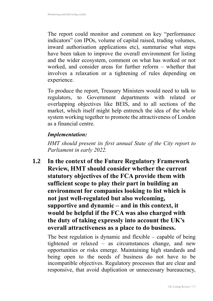The report could monitor and comment on key "performance indicators" (on IPOs, volume of capital raised, trading volumes, inward authorisation applications etc), summarise what steps have been taken to improve the overall environment for listing and the wider ecosystem, comment on what has worked or not worked, and consider areas for further reform – whether that involves a relaxation or a tightening of rules depending on experience.

To produce the report, Treasury Ministers would need to talk to regulators, to Government departments with related or overlapping objectives like BEIS, and to all sections of the market, which itself might help entrench the idea of the whole system working together to promote the attractiveness of London as a financial centre.

#### *Implementation:*

*HMT should present its first annual State of the City report to Parliament in early 2022.*

**1.2 In the context of the Future Regulatory Framework Review, HMT should consider whether the current statutory objectives of the FCA provide them with sufficient scope to play their part in building an environment for companies looking to list which is not just well-regulated but also welcoming, supportive and dynamic – and in this context, it would be helpful if the FCA was also charged with the duty of taking expressly into account the UK's overall attractiveness as a place to do business.**

The best regulation is dynamic and flexible – capable of being tightened or relaxed – as circumstances change, and new opportunities or risks emerge. Maintaining high standards and being open to the needs of business do not have to be incompatible objectives. Regulatory processes that are clear and responsive, that avoid duplication or unnecessary bureaucracy,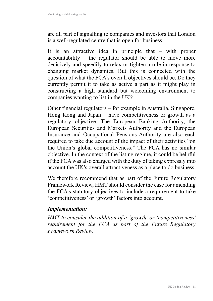are all part of signalling to companies and investors that London is a well-regulated centre that is open for business.

It is an attractive idea in principle that – with proper accountability – the regulator should be able to move more decisively and speedily to relax or tighten a rule in response to changing market dynamics. But this is connected with the question of what the FCA's overall objectives should be. Do they currently permit it to take as active a part as it might play in constructing a high standard but welcoming environment to companies wanting to list in the UK?

Other financial regulators – for example in Australia, Singapore, Hong Kong and Japan – have competitiveness or growth as a regulatory objective. The European Banking Authority, the European Securities and Markets Authority and the European Insurance and Occupational Pensions Authority are also each required to take due account of the impact of their activities "on the Union's global competitiveness." The FCA has no similar objective. In the context of the listing regime, it could be helpful if the FCA was also charged with the duty of taking expressly into account the UK's overall attractiveness as a place to do business.

We therefore recommend that as part of the Future Regulatory Framework Review, HMT should consider the case for amending the FCA's statutory objectives to include a requirement to take 'competitiveness' or 'growth' factors into account.

#### *Implementation:*

*HMT to consider the addition of a 'growth' or 'competitiveness' requirement for the FCA as part of the Future Regulatory Framework Review.*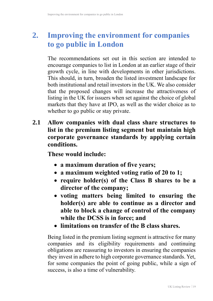# **2. Improving the environment for companies to go public in London**

The recommendations set out in this section are intended to encourage companies to list in London at an earlier stage of their growth cycle, in line with developments in other jurisdictions. This should, in turn, broaden the listed investment landscape for both institutional and retail investors in the UK. We also consider that the proposed changes will increase the attractiveness of listing in the UK for issuers when set against the choice of global markets that they have at IPO, as well as the wider choice as to whether to go public or stay private.

**2.1 Allow companies with dual class share structures to list in the premium listing segment but maintain high corporate governance standards by applying certain conditions.**

**These would include:**

- **a maximum duration of five years;**
- **a maximum weighted voting ratio of 20 to 1;**
- **require holder(s) of the Class B shares to be a director of the company;**
- **voting matters being limited to ensuring the holder(s) are able to continue as a director and able to block a change of control of the company while the DCSS is in force; and**
- **limitations on transfer of the B class shares.**

Being listed in the premium listing segment is attractive for many companies and its eligibility requirements and continuing obligations are reassuring to investors in ensuring the companies they invest in adhere to high corporate governance standards. Yet, for some companies the point of going public, while a sign of success, is also a time of vulnerability.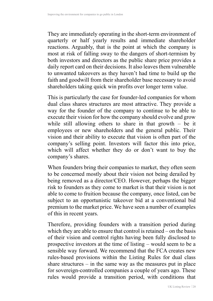They are immediately operating in the short-term environment of quarterly or half yearly results and immediate shareholder reactions. Arguably, that is the point at which the company is most at risk of falling sway to the dangers of short-termism by both investors and directors as the public share price provides a daily report card on their decisions. It also leaves them vulnerable to unwanted takeovers as they haven't had time to build up the faith and goodwill from their shareholder base necessary to avoid shareholders taking quick win profits over longer term value.

This is particularly the case for founder-led companies for whom dual class shares structures are most attractive. They provide a way for the founder of the company to continue to be able to execute their vision for how the company should evolve and grow while still allowing others to share in that growth – be it employees or new shareholders and the general public. Their vision and their ability to execute that vision is often part of the company's selling point. Investors will factor this into price, which will affect whether they do or don't want to buy the company's shares.

When founders bring their companies to market, they often seem to be concerned mostly about their vision not being derailed by being removed as a director/CEO. However, perhaps the bigger risk to founders as they come to market is that their vision is not able to come to fruition because the company, once listed, can be subject to an opportunistic takeover bid at a conventional bid premium to the market price. We have seen a number of examples of this in recent years.

Therefore, providing founders with a transition period during which they are able to ensure that control is retained – on the basis of their vision and control rights having been fully disclosed to prospective investors at the time of listing – would seem to be a sensible way forward. We recommend that the FCA creates new rules-based provisions within the Listing Rules for dual class share structures  $-$  in the same way as the measures put in place for sovereign-controlled companies a couple of years ago. These rules would provide a transition period, with conditions that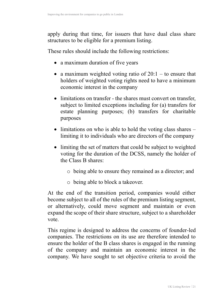apply during that time, for issuers that have dual class share structures to be eligible for a premium listing.

These rules should include the following restrictions:

- a maximum duration of five years
- a maximum weighted voting ratio of  $20:1 -$  to ensure that holders of weighted voting rights need to have a minimum economic interest in the company
- limitations on transfer the shares must convert on transfer, subject to limited exceptions including for (a) transfers for estate planning purposes; (b) transfers for charitable purposes
- limitations on who is able to hold the voting class shares limiting it to individuals who are directors of the company
- limiting the set of matters that could be subject to weighted voting for the duration of the DCSS, namely the holder of the Class B shares:
	- o being able to ensure they remained as a director; and
	- o being able to block a takeover.

At the end of the transition period, companies would either become subject to all of the rules of the premium listing segment, or alternatively, could move segment and maintain or even expand the scope of their share structure, subject to a shareholder vote.

This regime is designed to address the concerns of founder-led companies. The restrictions on its use are therefore intended to ensure the holder of the B class shares is engaged in the running of the company and maintain an economic interest in the company. We have sought to set objective criteria to avoid the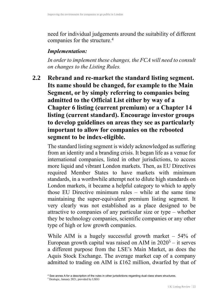need for individual judgements around the suitability of different companies for the structure.<sup>4</sup>

### *Implementation:*

*In order to implement these changes, the FCA will need to consult on changes to the Listing Rules.*

**2.2 Rebrand and re-market the standard listing segment. Its name should be changed, for example to the Main Segment, or by simply referring to companies being admitted to the Official List either by way of a Chapter 6 listing (current premium) or a Chapter 14 listing (current standard). Encourage investor groups to develop guidelines on areas they see as particularly important to allow for companies on the rebooted segment to be index-eligible.**

The standard listing segment is widely acknowledged as suffering from an identity and a branding crisis. It began life as a venue for international companies, listed in other jurisdictions, to access more liquid and vibrant London markets. Then, as EU Directives required Member States to have markets with minimum standards, in a worthwhile attempt not to dilute high standards on London markets, it became a helpful category to which to apply those EU Directive minimum rules – while at the same time maintaining the super-equivalent premium listing segment. It very clearly was not established as a place designed to be attractive to companies of any particular size or type – whether they be technology companies, scientific companies or any other type of high or low growth companies.

While AIM is a hugely successful growth market  $-54\%$  of European growth capital was raised on AIM in 2020<sup>5</sup> – it serves a different purpose from the LSE's Main Market, as does the Aquis Stock Exchange. The average market cap of a company admitted to trading on AIM is £162 million, dwarfed by that of

<sup>4</sup> See annex A for a description of the rules in other jurisdictions regarding dual class share structures.

<sup>5</sup> Dealogic, January 2021, provided by LSEG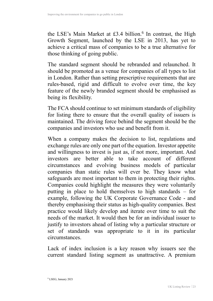the LSE's Main Market at £3.4 billion.<sup>6</sup> In contrast, the High Growth Segment, launched by the LSE in 2013, has yet to achieve a critical mass of companies to be a true alternative for those thinking of going public.

The standard segment should be rebranded and relaunched. It should be promoted as a venue for companies of all types to list in London. Rather than setting prescriptive requirements that are rules-based, rigid and difficult to evolve over time, the key feature of the newly branded segment should be emphasised as being its flexibility.

The FCA should continue to set minimum standards of eligibility for listing there to ensure that the overall quality of issuers is maintained. The driving force behind the segment should be the companies and investors who use and benefit from it.

When a company makes the decision to list, regulations and exchange rules are only one part of the equation. Investor appetite and willingness to invest is just as, if not more, important. And investors are better able to take account of different circumstances and evolving business models of particular companies than static rules will ever be. They know what safeguards are most important to them in protecting their rights. Companies could highlight the measures they were voluntarily putting in place to hold themselves to high standards – for example, following the UK Corporate Governance Code - and thereby emphasising their status as high-quality companies. Best practice would likely develop and iterate over time to suit the needs of the market. It would then be for an individual issuer to justify to investors ahead of listing why a particular structure or set of standards was appropriate to it in its particular circumstances.

Lack of index inclusion is a key reason why issuers see the current standard listing segment as unattractive. A premium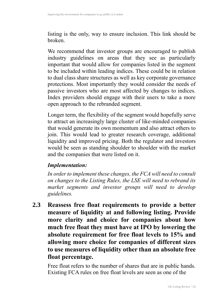listing is the only, way to ensure inclusion. This link should be broken.

We recommend that investor groups are encouraged to publish industry guidelines on areas that they see as particularly important that would allow for companies listed in the segment to be included within leading indices. These could be in relation to dual class share structures as well as key corporate governance protections. Most importantly they would consider the needs of passive investors who are most affected by changes to indices. Index providers should engage with their users to take a more open approach to the rebranded segment.

Longer term, the flexibility of the segment would hopefully serve to attract an increasingly large cluster of like-minded companies that would generate its own momentum and also attract others to join. This would lead to greater research coverage, additional liquidity and improved pricing. Both the regulator and investors would be seen as standing shoulder to shoulder with the market and the companies that were listed on it.

## *Implementation:*

*In order to implement these changes, the FCA will need to consult on changes to the Listing Rules, the LSE will need to rebrand its market segments and investor groups will need to develop guidelines.* 

**2.3 Reassess free float requirements to provide a better measure of liquidity at and following listing. Provide more clarity and choice for companies about how much free float they must have at IPO by lowering the absolute requirement for free float levels to 15% and allowing more choice for companies of different sizes to use measures of liquidity other than an absolute free float percentage.**

Free float refers to the number of shares that are in public hands. Existing FCA rules on free float levels are seen as one of the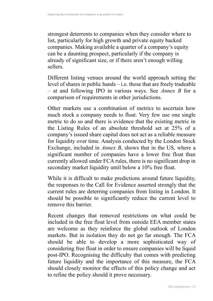strongest deterrents to companies when they consider where to list, particularly for high growth and private equity backed companies. Making available a quarter of a company's equity can be a daunting prospect, particularly if the company is already of significant size, or if there aren't enough willing sellers.

Different listing venues around the world approach setting the level of shares in public hands – i.e. those that are freely tradeable – at and following IPO in various ways. See *Annex B* for a comparison of requirements in other jurisdictions.

Other markets use a combination of metrics to ascertain how much stock a company needs to float. Very few use one single metric to do so and there is evidence that the existing metric in the Listing Rules of an absolute threshold set at 25% of a company's issued share capital does not act as a reliable measure for liquidity over time. Analysis conducted by the London Stock Exchange, included in *Annex B*, shows that in the US, where a significant number of companies have a lower free float than currently allowed under FCA rules, there is no significant drop in secondary market liquidity until below a 10% free float.

While it is difficult to make predictions around future liquidity, the responses to the Call for Evidence asserted strongly that the current rules are deterring companies from listing in London. It should be possible to significantly reduce the current level to remove this barrier.

Recent changes that removed restrictions on what could be included in the free float level from outside EEA member states are welcome as they reinforce the global outlook of London markets. But in isolation they do not go far enough. The FCA should be able to develop a more sophisticated way of considering free float in order to ensure companies will be liquid post-IPO. Recognising the difficulty that comes with predicting future liquidity and the importance of this measure, the FCA should closely monitor the effects of this policy change and act to refine the policy should it prove necessary.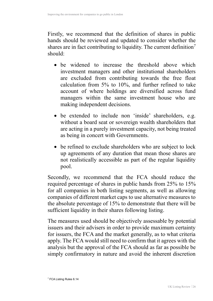Firstly, we recommend that the definition of shares in public hands should be reviewed and updated to consider whether the shares are in fact contributing to liquidity. The current definition<sup>7</sup> should:

- be widened to increase the threshold above which investment managers and other institutional shareholders are excluded from contributing towards the free float calculation from 5% to 10%, and further refined to take account of where holdings are diversified across fund managers within the same investment house who are making independent decisions.
- be extended to include non 'inside' shareholders, e.g. without a board seat or sovereign wealth shareholders that are acting in a purely investment capacity, not being treated as being in concert with Governments.
- be refined to exclude shareholders who are subject to lock up agreements of any duration that mean those shares are not realistically accessible as part of the regular liquidity pool.

Secondly, we recommend that the FCA should reduce the required percentage of shares in public hands from 25% to 15% for all companies in both listing segments, as well as allowing companies of different market caps to use alternative measures to the absolute percentage of 15% to demonstrate that there will be sufficient liquidity in their shares following listing.

The measures used should be objectively assessable by potential issuers and their advisers in order to provide maximum certainty for issuers, the FCA and the market generally, as to what criteria apply. The FCA would still need to confirm that it agrees with the analysis but the approval of the FCA should as far as possible be simply confirmatory in nature and avoid the inherent discretion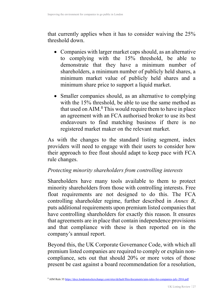that currently applies when it has to consider waiving the 25% threshold down.

- Companies with larger market caps should, as an alternative to complying with the 15% threshold, be able to demonstrate that they have a minimum number of shareholders, a minimum number of publicly held shares, a minimum market value of publicly held shares and a minimum share price to support a liquid market.
- Smaller companies should, as an alternative to complying with the 15% threshold, be able to use the same method as that used on AIM.<sup>8</sup> This would require them to have in place an agreement with an FCA authorised broker to use its best endeavours to find matching business if there is no registered market maker on the relevant market.

As with the changes to the standard listing segment, index providers will need to engage with their users to consider how their approach to free float should adapt to keep pace with FCA rule changes.

#### *Protecting minority shareholders from controlling interests*

Shareholders have many tools available to them to protect minority shareholders from those with controlling interests. Free float requirements are not designed to do this. The FCA controlling shareholder regime, further described in *Annex B*, puts additional requirements upon premium listed companies that have controlling shareholders for exactly this reason. It ensures that agreements are in place that contain independence provisions and that compliance with these is then reported on in the company's annual report.

Beyond this, the UK Corporate Governance Code, with which all premium listed companies are required to comply or explain noncompliance, sets out that should 20% or more votes of those present be cast against a board recommendation for a resolution,

<sup>8</sup> AIM Rule 35 https://docs.londonstockexchange.com/sites/default/files/documents/aim-rules-for-companies-july-2016.pdf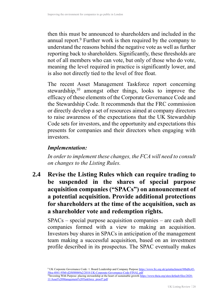then this must be announced to shareholders and included in the annual report.<sup>9</sup> Further work is then required by the company to understand the reasons behind the negative vote as well as further reporting back to shareholders. Significantly, these thresholds are not of all members who can vote, but only of those who do vote, meaning the level required in practice is significantly lower, and is also not directly tied to the level of free float.

The recent Asset Management Taskforce report concerning stewardship,<sup>10</sup> amongst other things, looks to improve the efficacy of these elements of the Corporate Governance Code and the Stewardship Code. It recommends that the FRC commission or directly develop a set of resources aimed at company directors to raise awareness of the expectations that the UK Stewardship Code sets for investors, and the opportunity and expectations this presents for companies and their directors when engaging with investors.

#### *Implementation:*

*In order to implement these changes, the FCA will need to consult on changes to the Listing Rules.*

**2.4 Revise the Listing Rules which can require trading to be suspended in the shares of special purpose acquisition companies ("SPACs") on announcement of a potential acquisition. Provide additional protections for shareholders at the time of the acquisition, such as a shareholder vote and redemption rights.**

SPACs – special purpose acquisition companies – are cash shell companies formed with a view to making an acquisition. Investors buy shares in SPACs in anticipation of the management team making a successful acquisition, based on an investment profile described in its prospectus. The SPAC eventually makes

<sup>&</sup>lt;sup>9</sup> UK Corporate Governance Code: 1. Board Leadership and Company Purpose https://www.frc.org.uk/getattachment/88bd8c45-50ea-4841-95b0-d2f4f48069a2/2018-UK-Corporate-Governance-Code-FINAL.pdf

<sup>&</sup>lt;sup>10</sup>Investing With Purpose: placing stewardship at the heart of sustainable growth https://www.theia.org/sites/default/files/2020-11/Asset%20Management%20Taskforce\_proof7.pdf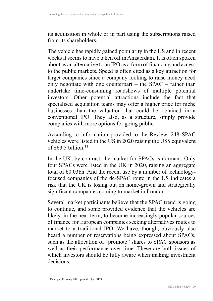its acquisition in whole or in part using the subscriptions raised from its shareholders.

The vehicle has rapidly gained popularity in the US and in recent weeks it seems to have taken off in Amsterdam. It is often spoken about as an alternative to an IPO as a form of financing and access to the public markets. Speed is often cited as a key attraction for target companies since a company looking to raise money need only negotiate with one counterpart – the SPAC – rather than undertake time-consuming roadshows of multiple potential investors. Other potential attractions include the fact that specialised acquisition teams may offer a higher price for niche businesses than the valuation that could be obtained in a conventional IPO. They also, as a structure, simply provide companies with more options for going public.

According to information provided to the Review, 248 SPAC vehicles were listed in the US in 2020 raising the US\$ equivalent of  $f63.5$  billion  $^{11}$ 

In the UK, by contrast, the market for SPACs is dormant. Only four SPACs were listed in the UK in 2020, raising an aggregate total of £0.03bn. And the recent use by a number of technologyfocused companies of the de-SPAC route in the US indicates a risk that the UK is losing out on home-grown and strategically significant companies coming to market in London.

Several market participants believe that the SPAC trend is going to continue, and some provided evidence that the vehicles are likely, in the near term, to become increasingly popular sources of finance for European companies seeking alternatives routes to market to a traditional IPO. We have, though, obviously also heard a number of reservations being expressed about SPACs, such as the allocation of "promote" shares to SPAC sponsors as well as their performance over time. These are both issues of which investors should be fully aware when making investment decisions.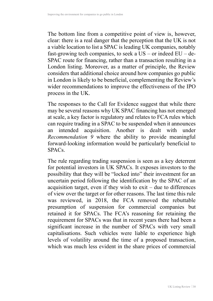The bottom line from a competitive point of view is, however, clear: there is a real danger that the perception that the UK is not a viable location to list a SPAC is leading UK companies, notably fast-growing tech companies, to seek a  $US - or$  indeed  $EU - de$ SPAC route for financing, rather than a transaction resulting in a London listing. Moreover, as a matter of principle, the Review considers that additional choice around how companies go public in London is likely to be beneficial, complementing the Review's wider recommendations to improve the effectiveness of the IPO process in the UK.

The responses to the Call for Evidence suggest that while there may be several reasons why UK SPAC financing has not emerged at scale, a key factor is regulatory and relates to FCA rules which can require trading in a SPAC to be suspended when it announces an intended acquisition. Another is dealt with under *Recommendation 9* where the ability to provide meaningful forward-looking information would be particularly beneficial to SPACs.

The rule regarding trading suspension is seen as a key deterrent for potential investors in UK SPACs. It exposes investors to the possibility that they will be "locked into" their investment for an uncertain period following the identification by the SPAC of an acquisition target, even if they wish to exit – due to differences of view over the target or for other reasons. The last time this rule was reviewed, in 2018, the FCA removed the rebuttable presumption of suspension for commercial companies but retained it for SPACs. The FCA's reasoning for retaining the requirement for SPACs was that in recent years there had been a significant increase in the number of SPACs with very small capitalisations. Such vehicles were liable to experience high levels of volatility around the time of a proposed transaction, which was much less evident in the share prices of commercial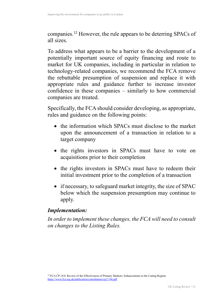companies.<sup>12</sup> However, the rule appears to be deterring SPACs of all sizes.

To address what appears to be a barrier to the development of a potentially important source of equity financing and route to market for UK companies, including in particular in relation to technology-related companies, we recommend the FCA remove the rebuttable presumption of suspension and replace it with appropriate rules and guidance further to increase investor confidence in these companies – similarly to how commercial companies are treated.

Specifically, the FCA should consider developing, as appropriate, rules and guidance on the following points:

- the information which SPACs must disclose to the market upon the announcement of a transaction in relation to a target company
- the rights investors in SPACs must have to vote on acquisitions prior to their completion
- the rights investors in SPACs must have to redeem their initial investment prior to the completion of a transaction
- if necessary, to safeguard market integrity, the size of SPAC below which the suspension presumption may continue to apply.

#### *Implementation:*

*In order to implement these changes, the FCA will need to consult on changes to the Listing Rules.*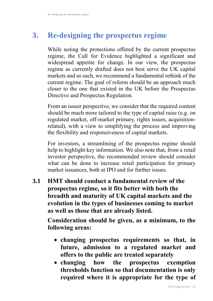# **3. Re-designing the prospectus regime**

While noting the protections offered by the current prospectus regime, the Call for Evidence highlighted a significant and widespread appetite for change. In our view, the prospectus regime as currently drafted does not best serve the UK capital markets and as such, we recommend a fundamental rethink of the current regime. The goal of reform should be an approach much closer to the one that existed in the UK before the Prospectus Directive and Prospectus Regulation.

From an issuer perspective, we consider that the required content should be much more tailored to the type of capital raise (e.g. on regulated market, off-market primary, rights issues, acquisitionrelated), with a view to simplifying the process and improving the flexibility and responsiveness of capital markets.

For investors, a streamlining of the prospectus regime should help to highlight key information. We also note that, from a retail investor perspective, the recommended review should consider what can be done to increase retail participation for primary market issuances, both at IPO and for further issues.

**3.1 HMT should conduct a fundamental review of the prospectus regime, so it fits better with both the breadth and maturity of UK capital markets and the evolution in the types of businesses coming to market as well as those that are already listed.** 

**Consideration should be given, as a minimum, to the following areas:**

- **changing prospectus requirements so that, in future, admission to a regulated market and offers to the public are treated separately**
- **changing how the prospectus exemption thresholds function so that documentation is only required where it is appropriate for the type of**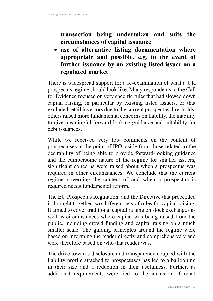**transaction being undertaken and suits the circumstances of capital issuance**

• **use of alternative listing documentation where appropriate and possible, e.g. in the event of further issuance by an existing listed issuer on a regulated market**

There is widespread support for a re-examination of what a UK prospectus regime should look like. Many respondents to the Call for Evidence focused on very specific rules that had slowed down capital raising, in particular by existing listed issuers, or that excluded retail investors due to the current prospectus thresholds; others raised more fundamental concerns on liability, the inability to give meaningful forward-looking guidance and suitability for debt issuances.

While we received very few comments on the content of prospectuses at the point of IPO, aside from those related to the desirability of being able to provide forward-looking guidance and the cumbersome nature of the regime for smaller issuers, significant concerns were raised about when a prospectus was required in other circumstances. We conclude that the current regime governing the content of and when a prospectus is required needs fundamental reform.

The EU Prospectus Regulation, and the Directive that proceeded it, brought together two different sets of rules for capital raising. It aimed to cover traditional capital raising on stock exchanges as well as circumstances where capital was being raised from the public, including crowd funding and capital raising on a much smaller scale. The guiding principles around the regime were based on informing the reader directly and comprehensively and were therefore based on who that reader was.

The drive towards disclosure and transparency coupled with the liability profile attached to prospectuses has led to a ballooning in their size and a reduction in their usefulness. Further, as additional requirements were tied to the inclusion of retail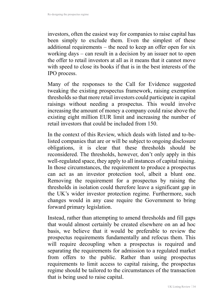investors, often the easiest way for companies to raise capital has been simply to exclude them. Even the simplest of these additional requirements – the need to keep an offer open for six working days – can result in a decision by an issuer not to open the offer to retail investors at all as it means that it cannot move with speed to close its books if that is in the best interests of the IPO process.

Many of the responses to the Call for Evidence suggested tweaking the existing prospectus framework, raising exemption thresholds so that more retail investors could participate in capital raisings without needing a prospectus. This would involve increasing the amount of money a company could raise above the existing eight million EUR limit and increasing the number of retail investors that could be included from 150.

In the context of this Review, which deals with listed and to-belisted companies that are or will be subject to ongoing disclosure obligations, it is clear that these thresholds should be reconsidered. The thresholds, however, don't only apply in this well-regulated space, they apply to all instances of capital raising. In those circumstances, the requirement to produce a prospectus can act as an investor protection tool, albeit a blunt one. Removing the requirement for a prospectus by raising the thresholds in isolation could therefore leave a significant gap in the UK's wider investor protection regime. Furthermore, such changes would in any case require the Government to bring forward primary legislation.

Instead, rather than attempting to amend thresholds and fill gaps that would almost certainly be created elsewhere on an ad hoc basis, we believe that it would be preferable to review the prospectus requirements fundamentally and refocus them. This will require decoupling when a prospectus is required and separating the requirements for admission to a regulated market from offers to the public. Rather than using prospectus requirements to limit access to capital raising, the prospectus regime should be tailored to the circumstances of the transaction that is being used to raise capital.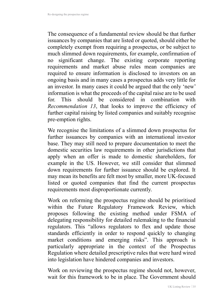The consequence of a fundamental review should be that further issuances by companies that are listed or quoted, should either be completely exempt from requiring a prospectus, or be subject to much slimmed down requirements, for example, confirmation of no significant change. The existing corporate reporting requirements and market abuse rules mean companies are required to ensure information is disclosed to investors on an ongoing basis and in many cases a prospectus adds very little for an investor. In many cases it could be argued that the only 'new' information is what the proceeds of the capital raise are to be used for. This should be considered in combination with *Recommendation 13*, that looks to improve the efficiency of further capital raising by listed companies and suitably recognise pre-emption rights.

We recognise the limitations of a slimmed down prospectus for further issuances by companies with an international investor base. They may still need to prepare documentation to meet the domestic securities law requirements in other jurisdictions that apply when an offer is made to domestic shareholders, for example in the US. However, we still consider that slimmed down requirements for further issuance should be explored. It may mean its benefits are felt most by smaller, more UK-focused listed or quoted companies that find the current prospectus requirements most disproportionate currently.

Work on reforming the prospectus regime should be prioritised within the Future Regulatory Framework Review, which proposes following the existing method under FSMA of delegating responsibility for detailed rulemaking to the financial regulators. This "allows regulators to flex and update those standards efficiently in order to respond quickly to changing market conditions and emerging risks". This approach is particularly appropriate in the context of the Prospectus Regulation where detailed prescriptive rules that were hard wired into legislation have hindered companies and investors.

Work on reviewing the prospectus regime should not, however, wait for this framework to be in place. The Government should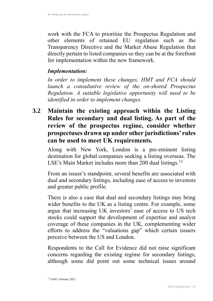work with the FCA to prioritise the Prospectus Regulation and other elements of retained EU regulation such as the Transparency Directive and the Market Abuse Regulation that directly pertain to listed companies so they can be at the forefront for implementation within the new framework.

#### *Implementation:*

*In order to implement these changes, HMT and FCA should launch a consultative review of the on-shored Prospectus Regulation. A suitable legislative opportunity will need to be identified in order to implement changes.*

**3.2 Maintain the existing approach within the Listing Rules for secondary and dual listing. As part of the review of the prospectus regime, consider whether prospectuses drawn up under other jurisdictions' rules can be used to meet UK requirements.**

Along with New York, London is a pre-eminent listing destination for global companies seeking a listing overseas. The LSE's Main Market includes more than 200 dual listings.<sup>13</sup>

From an issuer's standpoint, several benefits are associated with dual and secondary listings, including ease of access to investors and greater public profile.

There is also a case that dual and secondary listings may bring wider benefits to the UK as a listing centre. For example, some argue that increasing UK investors' ease of access to US tech stocks could support the development of expertise and analyst coverage of these companies in the UK, complementing wider efforts to address the "valuations gap" which certain issuers perceive between the US and London.

Respondents to the Call for Evidence did not raise significant concerns regarding the existing regime for secondary listings, although some did point out some technical issues around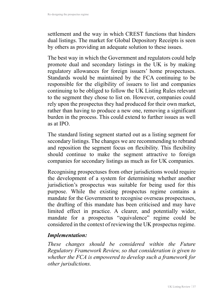settlement and the way in which CREST functions that hinders dual listings. The market for Global Depository Receipts is seen by others as providing an adequate solution to these issues.

The best way in which the Government and regulators could help promote dual and secondary listings in the UK is by making regulatory allowances for foreign issuers' home prospectuses. Standards would be maintained by the FCA continuing to be responsible for the eligibility of issuers to list and companies continuing to be obliged to follow the UK Listing Rules relevant to the segment they chose to list on. However, companies could rely upon the prospectus they had produced for their own market, rather than having to produce a new one, removing a significant burden in the process. This could extend to further issues as well as at IPO.

The standard listing segment started out as a listing segment for secondary listings. The changes we are recommending to rebrand and reposition the segment focus on flexibility. This flexibility should continue to make the segment attractive to foreign companies for secondary listings as much as for UK companies.

Recognising prospectuses from other jurisdictions would require the development of a system for determining whether another jurisdiction's prospectus was suitable for being used for this purpose. While the existing prospectus regime contains a mandate for the Government to recognise overseas prospectuses, the drafting of this mandate has been criticised and may have limited effect in practice. A clearer, and potentially wider, mandate for a prospectus "equivalence" regime could be considered in the context of reviewing the UK prospectus regime.

#### *Implementation:*

*These changes should be considered within the Future Regulatory Framework Review, so that consideration is given to whether the FCA is empowered to develop such a framework for other jurisdictions.*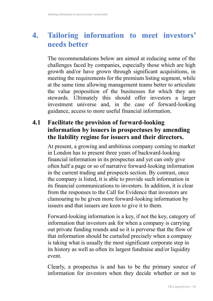## **4. Tailoring information to meet investors' needs better**

The recommendations below are aimed at reducing some of the challenges faced by companies, especially those which are high growth and/or have grown through significant acquisitions, in meeting the requirements for the premium listing segment, while at the same time allowing management teams better to articulate the value proposition of the businesses for which they are stewards. Ultimately this should offer investors a larger investment universe and, in the case of forward-looking guidance, access to more useful financial information.

## **4.1 Facilitate the provision of forward-looking information by issuers in prospectuses by amending the liability regime for issuers and their directors.**

At present, a growing and ambitious company coming to market in London has to present three years of backward-looking financial information in its prospectus and yet can only give often half a page or so of narrative forward-looking information in the current trading and prospects section. By contrast, once the company is listed, it is able to provide such information in its financial communications to investors. In addition, it is clear from the responses to the Call for Evidence that investors are clamouring to be given more forward-looking information by issuers and that issuers are keen to give it to them.

Forward-looking information is a key, if not the key, category of information that investors ask for when a company is carrying out private funding rounds and so it is perverse that the flow of that information should be curtailed precisely when a company is taking what is usually the most significant corporate step in its history as well as often its largest fundraise and/or liquidity event.

Clearly, a prospectus is and has to be the primary source of information for investors when they decide whether or not to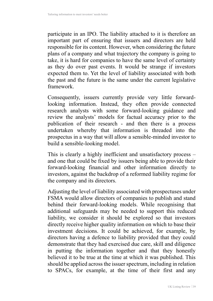participate in an IPO. The liability attached to it is therefore an important part of ensuring that issuers and directors are held responsible for its content. However, when considering the future plans of a company and what trajectory the company is going to take, it is hard for companies to have the same level of certainty as they do over past events. It would be strange if investors expected them to. Yet the level of liability associated with both the past and the future is the same under the current legislative framework.

Consequently, issuers currently provide very little forwardlooking information. Instead, they often provide connected research analysts with some forward-looking guidance and review the analysts' models for factual accuracy prior to the publication of their research - and then there is a process undertaken whereby that information is threaded into the prospectus in a way that will allow a sensible-minded investor to build a sensible-looking model.

This is clearly a highly inefficient and unsatisfactory process – and one that could be fixed by issuers being able to provide their forward-looking financial and other information directly to investors, against the backdrop of a reformed liability regime for the company and its directors.

Adjusting the level of liability associated with prospectuses under FSMA would allow directors of companies to publish and stand behind their forward-looking models. While recognising that additional safeguards may be needed to support this reduced liability, we consider it should be explored so that investors directly receive higher quality information on which to base their investment decisions. It could be achieved, for example, by directors having a defence to liability provided that they could demonstrate that they had exercised due care, skill and diligence in putting the information together and that they honestly believed it to be true at the time at which it was published. This should be applied across the issuer spectrum, including in relation to SPACs, for example, at the time of their first and any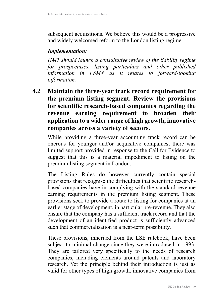subsequent acquisitions. We believe this would be a progressive and widely welcomed reform to the London listing regime.

#### *Implementation:*

*HMT should launch a consultative review of the liability regime for prospectuses, listing particulars and other published information in FSMA as it relates to forward-looking information.* 

**4.2 Maintain the three-year track record requirement for the premium listing segment. Review the provisions for scientific research-based companies regarding the revenue earning requirement to broaden their application to a wider range of high growth, innovative companies across a variety of sectors.**

While providing a three-year accounting track record can be onerous for younger and/or acquisitive companies, there was limited support provided in response to the Call for Evidence to suggest that this is a material impediment to listing on the premium listing segment in London.

The Listing Rules do however currently contain special provisions that recognise the difficulties that scientific researchbased companies have in complying with the standard revenue earning requirements in the premium listing segment. These provisions seek to provide a route to listing for companies at an earlier stage of development, in particular pre-revenue. They also ensure that the company has a sufficient track record and that the development of an identified product is sufficiently advanced such that commercialisation is a near-term possibility.

These provisions, inherited from the LSE rulebook, have been subject to minimal change since they were introduced in 1993. They are tailored very specifically to the needs of research companies, including elements around patents and laboratory research. Yet the principle behind their introduction is just as valid for other types of high growth, innovative companies from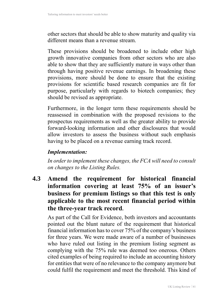other sectors that should be able to show maturity and quality via different means than a revenue stream.

These provisions should be broadened to include other high growth innovative companies from other sectors who are also able to show that they are sufficiently mature in ways other than through having positive revenue earnings. In broadening these provisions, more should be done to ensure that the existing provisions for scientific based research companies are fit for purpose, particularly with regards to biotech companies; they should be revised as appropriate.

Furthermore, in the longer term these requirements should be reassessed in combination with the proposed revisions to the prospectus requirements as well as the greater ability to provide forward-looking information and other disclosures that would allow investors to assess the business without such emphasis having to be placed on a revenue earning track record.

#### *Implementation:*

*In order to implement these changes, the FCA will need to consult on changes to the Listing Rules.*

**4.3 Amend the requirement for historical financial information covering at least 75% of an issuer's business for premium listings so that this test is only applicable to the most recent financial period within the three-year track record.**

As part of the Call for Evidence, both investors and accountants pointed out the blunt nature of the requirement that historical financial information has to cover 75% of the company's business for three years. We were made aware of a number of businesses who have ruled out listing in the premium listing segment as complying with the 75% rule was deemed too onerous. Others cited examples of being required to include an accounting history for entities that were of no relevance to the company anymore but could fulfil the requirement and meet the threshold. This kind of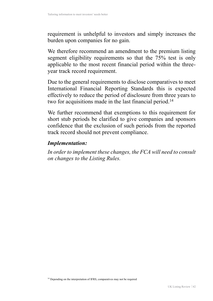requirement is unhelpful to investors and simply increases the burden upon companies for no gain.

We therefore recommend an amendment to the premium listing segment eligibility requirements so that the 75% test is only applicable to the most recent financial period within the threeyear track record requirement.

Due to the general requirements to disclose comparatives to meet International Financial Reporting Standards this is expected effectively to reduce the period of disclosure from three years to two for acquisitions made in the last financial period.<sup>14</sup>

We further recommend that exemptions to this requirement for short stub periods be clarified to give companies and sponsors confidence that the exclusion of such periods from the reported track record should not prevent compliance.

#### *Implementation:*

*In order to implement these changes, the FCA will need to consult on changes to the Listing Rules.*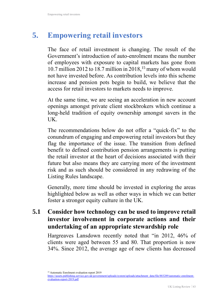# **5. Empowering retail investors**

The face of retail investment is changing. The result of the Government's introduction of auto-enrolment means the number of employees with exposure to capital markets has gone from 10.7 million 2012 to 18.7 million in 2018,<sup>15</sup> many of whom would not have invested before. As contribution levels into this scheme increase and pension pots begin to build, we believe that the access for retail investors to markets needs to improve.

At the same time, we are seeing an acceleration in new account openings amongst private client stockbrokers which continue a long-held tradition of equity ownership amongst savers in the UK.

The recommendations below do not offer a "quick-fix" to the conundrum of engaging and empowering retail investors but they flag the importance of the issue. The transition from defined benefit to defined contribution pension arrangements is putting the retail investor at the heart of decisions associated with their future but also means they are carrying more of the investment risk and as such should be considered in any redrawing of the Listing Rules landscape.

Generally, more time should be invested in exploring the areas highlighted below as well as other ways in which we can better foster a stronger equity culture in the UK.

## **5.1 Consider how technology can be used to improve retail investor involvement in corporate actions and their undertaking of an appropriate stewardship role**

Hargreaves Lansdown recently noted that "in 2012, 46% of clients were aged between 55 and 80. That proportion is now 34%. Since 2012, the average age of new clients has decreased

<sup>15</sup> Automatic Enrolment evaluation report 2019

https://assets.publishing.service.gov.uk/government/uploads/system/uploads/attachment\_data/file/883289/automatic-enrolmentevaluation-report-2019.pdf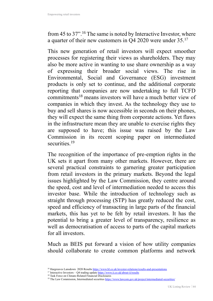from 45 to 37".<sup>16</sup> The same is noted by Interactive Investor, where a quarter of their new customers in Q4 2020 were under 35.<sup>17</sup>

This new generation of retail investors will expect smoother processes for registering their views as shareholders. They may also be more active in wanting to use share ownership as a way of expressing their broader social views. The rise in Environmental, Social and Governance (ESG) investment products is only set to continue, and the additional corporate reporting that companies are now undertaking to full TCFD commitments<sup>18</sup> means investors will have a much better view of companies in which they invest. As the technology they use to buy and sell shares is now accessible in seconds on their phones, they will expect the same thing from corporate actions. Yet flaws in the infrastructure mean they are unable to exercise rights they are supposed to have; this issue was raised by the Law Commission in its recent scoping paper on intermediated securities.<sup>19</sup>

The recognition of the importance of pre-emption rights in the UK sets it apart from many other markets. However, there are several practical constraints to garnering greater participation from retail investors in the primary markets. Beyond the legal issues highlighted by the Law Commission, they centre around the speed, cost and level of intermediation needed to access this investor base. While the introduction of technology such as straight through processing (STP) has greatly reduced the cost, speed and efficiency of transacting in large parts of the financial markets, this has yet to be felt by retail investors. It has the potential to bring a greater level of transparency, resilience as well as democratisation of access to parts of the capital markets for all investors.

Much as BEIS put forward a vision of how utility companies should collaborate to create common platforms and network

<sup>&</sup>lt;sup>16</sup> Hargreaves Lansdown 2020 Results https://www.hl.co.uk/investor-relations/results-and-presentations

 $17$  Interactive Investors – Q4 trading update  $\frac{https://www.ii.co.uk/about-ii/results}{https://www.ii.co.uk/about-ii/results}$ 

<sup>&</sup>lt;sup>18</sup> Task Force on Climate-Related Financial Disclosures

<sup>&</sup>lt;sup>19</sup> The Law Commission, Intermediated securities https://www.lawcom.gov.uk/project/intermediated-securities/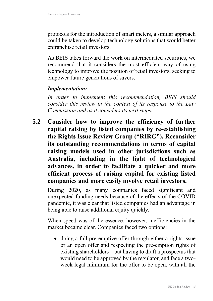protocols for the introduction of smart meters, a similar approach could be taken to develop technology solutions that would better enfranchise retail investors.

As BEIS takes forward the work on intermediated securities, we recommend that it considers the most efficient way of using technology to improve the position of retail investors, seeking to empower future generations of savers.

#### *Implementation:*

*In order to implement this recommendation, BEIS should consider this review in the context of its response to the Law Commission and as it considers its next steps.* 

**5.2 Consider how to improve the efficiency of further capital raising by listed companies by re-establishing the Rights Issue Review Group ("RIRG"). Reconsider its outstanding recommendations in terms of capital raising models used in other jurisdictions such as Australia, including in the light of technological advances, in order to facilitate a quicker and more efficient process of raising capital for existing listed companies and more easily involve retail investors.**

During 2020, as many companies faced significant and unexpected funding needs because of the effects of the COVID pandemic, it was clear that listed companies had an advantage in being able to raise additional equity quickly.

When speed was of the essence, however, inefficiencies in the market became clear. Companies faced two options:

• doing a full pre-emptive offer through either a rights issue or an open offer and respecting the pre-emption rights of existing shareholders – but having to draft a prospectus that would need to be approved by the regulator, and face a twoweek legal minimum for the offer to be open, with all the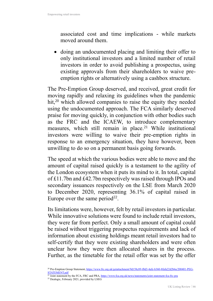associated cost and time implications - while markets moved around them.

• doing an undocumented placing and limiting their offer to only institutional investors and a limited number of retail investors in order to avoid publishing a prospectus, using existing approvals from their shareholders to waive preemption rights or alternatively using a cashbox structure.

The Pre-Emption Group deserved, and received, great credit for moving rapidly and relaxing its guidelines when the pandemic hit,<sup>20</sup> which allowed companies to raise the equity they needed using the undocumented approach. The FCA similarly deserved praise for moving quickly, in conjunction with other bodies such as the FRC and the ICAEW, to introduce complementary measures, which still remain in place.<sup>21</sup> While institutional investors were willing to waive their pre-emption rights in response to an emergency situation, they have however, been unwilling to do so on a permanent basis going forwards.

The speed at which the various bodies were able to move and the amount of capital raised quickly is a testament to the agility of the London ecosystem when it puts its mind to it. In total, capital of £11.7bn and £42.7bn respectively was raised through IPOs and secondary issuances respectively on the LSE from March 2020 to December 2020, representing 36.1% of capital raised in Europe over the same period<sup>22</sup>.

Its limitations were, however, felt by retail investors in particular. While innovative solutions were found to include retail investors, they were far from perfect. Only a small amount of capital could be raised without triggering prospectus requirements and lack of information about existing holdings meant retail investors had to self-certify that they were existing shareholders and were often unclear how they were then allocated shares in the process. Further, as the timetable for the retail offer was set by the offer

<sup>&</sup>lt;sup>20</sup> Pre-Emption Group Statement, https://www.frc.org.uk/getattachment/9d158c89-f0d3-4afe-b360-8fafa22d2b6a/200401-PEG-STATEMENT.pdf

<sup>&</sup>lt;sup>21</sup> Joint statement by the FCA, FRC and PRA, https://www.fca.org.uk/news/statements/joint-statement-fca-frc-pra

<sup>&</sup>lt;sup>22</sup> Dealogic, February 2021, provided by LSEG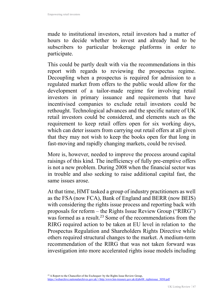made to institutional investors, retail investors had a matter of hours to decide whether to invest and already had to be subscribers to particular brokerage platforms in order to participate.

This could be partly dealt with via the recommendations in this report with regards to reviewing the prospectus regime. Decoupling when a prospectus is required for admission to a regulated market from offers to the public would allow for the development of a tailor-made regime for involving retail investors in primary issuance and requirements that have incentivised companies to exclude retail investors could be rethought. Technological advances and the specific nature of UK retail investors could be considered, and elements such as the requirement to keep retail offers open for six working days, which can deter issuers from carrying out retail offers at all given that they may not wish to keep the books open for that long in fast-moving and rapidly changing markets, could be revised.

More is, however, needed to improve the process around capital raisings of this kind. The inefficiency of fully pre-emptive offers is not a new problem. During 2008 when the financial sector was in trouble and also seeking to raise additional capital fast, the same issues arose.

At that time, HMT tasked a group of industry practitioners as well as the FSA (now FCA), Bank of England and BERR (now BEIS) with considering the rights issue process and reporting back with proposals for reform – the Rights Issue Review Group ("RIRG") was formed as a result.<sup>23</sup> Some of the recommendations from the RIRG required action to be taken at EU level in relation to the Prospectus Regulation and Shareholders Rights Directive while others required structural changes to the market. A medium-term recommendation of the RIRG that was not taken forward was investigation into more accelerated rights issue models including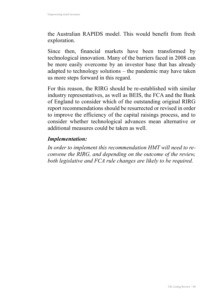the Australian RAPIDS model. This would benefit from fresh exploration.

Since then, financial markets have been transformed by technological innovation. Many of the barriers faced in 2008 can be more easily overcome by an investor base that has already adapted to technology solutions – the pandemic may have taken us more steps forward in this regard.

For this reason, the RIRG should be re-established with similar industry representatives, as well as BEIS, the FCA and the Bank of England to consider which of the outstanding original RIRG report recommendations should be resurrected or revised in order to improve the efficiency of the capital raisings process, and to consider whether technological advances mean alternative or additional measures could be taken as well.

#### *Implementation:*

*In order to implement this recommendation HMT will need to reconvene the RIRG, and depending on the outcome of the review, both legislative and FCA rule changes are likely to be required.*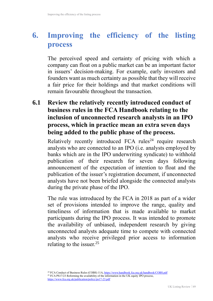## **6. Improving the efficiency of the listing process**

The perceived speed and certainty of pricing with which a company can float on a public market can be an important factor in issuers' decision-making. For example, early investors and founders want as much certainty as possible that they will receive a fair price for their holdings and that market conditions will remain favourable throughout the transaction.

## **6.1 Review the relatively recently introduced conduct of business rules in the FCA Handbook relating to the inclusion of unconnected research analysts in an IPO process, which in practice mean an extra seven days being added to the public phase of the process.**

Relatively recently introduced FCA rules<sup>24</sup> require research analysts who are connected to an IPO (i.e. analysts employed by banks which are in the IPO underwriting syndicate) to withhold publication of their research for seven days following announcement of the expectation of intention to float and the publication of the issuer's registration document, if unconnected analysts have not been briefed alongside the connected analysts during the private phase of the IPO.

The rule was introduced by the FCA in 2018 as part of a wider set of provisions intended to improve the range, quality and timeliness of information that is made available to market participants during the IPO process. It was intended to promote the availability of unbiased, independent research by giving unconnected analysts adequate time to compete with connected analysts who receive privileged prior access to information relating to the issuer.<sup>25</sup>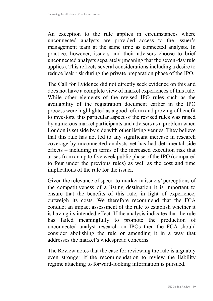An exception to the rule applies in circumstances where unconnected analysts are provided access to the issuer's management team at the same time as connected analysts. In practice, however, issuers and their advisers choose to brief unconnected analysts separately (meaning that the seven-day rule applies). This reflects several considerations including a desire to reduce leak risk during the private preparation phase of the IPO.

The Call for Evidence did not directly seek evidence on this and does not have a complete view of market experiences of this rule. While other elements of the revised IPO rules such as the availability of the registration document earlier in the IPO process were highlighted as a good reform and proving of benefit to investors, this particular aspect of the revised rules was raised by numerous market participants and advisers as a problem when London is set side by side with other listing venues. They believe that this rule has not led to any significant increase in research coverage by unconnected analysts yet has had detrimental side effects – including in terms of the increased execution risk that arises from an up to five week public phase of the IPO (compared to four under the previous rules) as well as the cost and time implications of the rule for the issuer.

Given the relevance of speed-to-market in issuers' perceptions of the competitiveness of a listing destination it is important to ensure that the benefits of this rule, in light of experience, outweigh its costs. We therefore recommend that the FCA conduct an impact assessment of the rule to establish whether it is having its intended effect. If the analysis indicates that the rule has failed meaningfully to promote the production of unconnected analyst research on IPOs then the FCA should consider abolishing the rule or amending it in a way that addresses the market's widespread concerns.

The Review notes that the case for reviewing the rule is arguably even stronger if the recommendation to review the liability regime attaching to forward-looking information is pursued.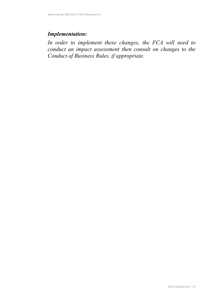#### *Implementation:*

*In order to implement these changes, the FCA will need to conduct an impact assessment then consult on changes to the Conduct of Business Rules, if appropriate.*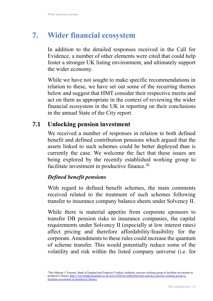# **7. Wider financial ecosystem**

In addition to the detailed responses received in the Call for Evidence, a number of other elements were cited that could help foster a stronger UK listing environment, and ultimately support the wider economy.

While we have not sought to make specific recommendations in relation to these, we have set out some of the recurring themes below and suggest that HMT consider their respective merits and act on them as appropriate in the context of reviewing the wider financial ecosystem in the UK in reporting on their conclusions in the annual State of the City report.

### **7.1 Unlocking pension investment**

We received a number of responses in relation to both defined benefit and defined contribution pensions which argued that the assets linked to such schemes could be better deployed than is currently the case. We welcome the fact that these issues are being explored by the recently established working group to facilitate investment in productive finance.<sup>26</sup>

#### *Defined benefit pensions*

With regard to defined benefit schemes, the main comments received related to the treatment of such schemes following transfer to insurance company balance sheets under Solvency II.

While there is material appetite from corporate sponsors to transfer DB pension risks to insurance companies, the capital requirements under Solvency II (especially at low interest rates) affect pricing and therefore affordability/feasibility for the corporate. Amendments to these rules could increase the quantum of scheme transfer. This would potentially reduce some of the volatility and risk within the listed company universe (i.e. for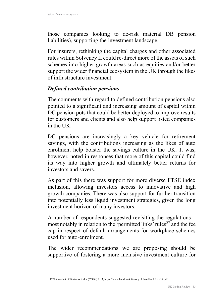those companies looking to de-risk material DB pension liabilities), supporting the investment landscape.

For insurers, rethinking the capital charges and other associated rules within Solvency II could re-direct more of the assets of such schemes into higher growth areas such as equities and/or better support the wider financial ecosystem in the UK through the likes of infrastructure investment.

#### *Defined contribution pensions*

The comments with regard to defined contribution pensions also pointed to a significant and increasing amount of capital within DC pension pots that could be better deployed to improve results for customers and clients and also help support listed companies in the UK.

DC pensions are increasingly a key vehicle for retirement savings, with the contributions increasing as the likes of auto enrolment help bolster the savings culture in the UK. It was, however, noted in responses that more of this capital could find its way into higher growth and ultimately better returns for investors and savers.

As part of this there was support for more diverse FTSE index inclusion, allowing investors access to innovative and high growth companies. There was also support for further transition into potentially less liquid investment strategies, given the long investment horizon of many investors.

A number of respondents suggested revisiting the regulations – most notably in relation to the 'permitted links' rules<sup>27</sup> and the fee cap in respect of default arrangements for workplace schemes used for auto-enrolment.

The wider recommendations we are proposing should be supportive of fostering a more inclusive investment culture for

<sup>&</sup>lt;sup>27</sup> FCA Conduct of Business Rules (COBS) 21.3, https://www.handbook.fca.org.uk/handbook/COBS.pdf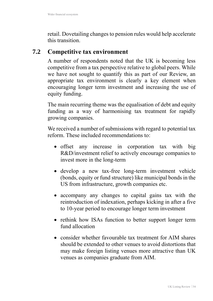retail. Dovetailing changes to pension rules would help accelerate this transition.

### **7.2 Competitive tax environment**

A number of respondents noted that the UK is becoming less competitive from a tax perspective relative to global peers. While we have not sought to quantify this as part of our Review, an appropriate tax environment is clearly a key element when encouraging longer term investment and increasing the use of equity funding.

The main recurring theme was the equalisation of debt and equity funding as a way of harmonising tax treatment for rapidly growing companies.

We received a number of submissions with regard to potential tax reform. These included recommendations to:

- offset any increase in corporation tax with big R&D/investment relief to actively encourage companies to invest more in the long-term
- develop a new tax-free long-term investment vehicle (bonds, equity or fund structure) like municipal bonds in the US from infrastructure, growth companies etc.
- accompany any changes to capital gains tax with the reintroduction of indexation, perhaps kicking in after a five to 10-year period to encourage longer term investment
- rethink how ISAs function to better support longer term fund allocation
- consider whether favourable tax treatment for AIM shares should be extended to other venues to avoid distortions that may make foreign listing venues more attractive than UK venues as companies graduate from AIM.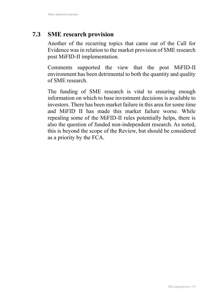## **7.3 SME research provision**

Another of the recurring topics that came out of the Call for Evidence was in relation to the market provision of SME research post MiFID-II implementation.

Comments supported the view that the post MiFID-II environment has been detrimental to both the quantity and quality of SME research.

The funding of SME research is vital to ensuring enough information on which to base investment decisions is available to investors. There has been market failure in this area for some time and MiFID II has made this market failure worse. While repealing some of the MiFID-II rules potentially helps, there is also the question of funded non-independent research. As noted, this is beyond the scope of the Review, but should be considered as a priority by the FCA.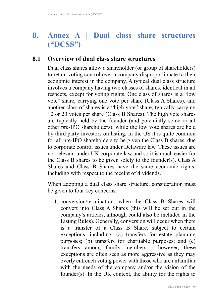## **8. Annex A | Dual class share structures ("DCSS")**

#### **8.1 Overview of dual class share structures**

Dual class shares allow a shareholder (or group of shareholders) to retain voting control over a company disproportionate to their economic interest in the company. A typical dual class structure involves a company having two classes of shares, identical in all respects, except for voting rights. One class of shares is a "low vote" share, carrying one vote per share (Class A Shares), and another class of shares is a "high vote" share, typically carrying 10 or 20 votes per share (Class B Shares). The high vote shares are typically held by the founder (and potentially some or all other pre-IPO shareholders), while the low vote shares are held by third party investors on listing. In the US it is quite common for all pre-IPO shareholders to be given the Class B shares, due to corporate control issues under Delaware law. These issues are not relevant under UK corporate law and so it is much easier for the Class B shares to be given solely to the founder(s). Class A Shares and Class B Shares have the same economic rights, including with respect to the receipt of dividends.

When adopting a dual class share structure, consideration must be given to four key concerns:

1. conversion/termination: when the Class B Shares will convert into Class A Shares (this will be set out in the company's articles, although could also be included in the Listing Rules). Generally, conversion will occur when there is a transfer of a Class B Share, subject to certain exceptions, including: (a) transfers for estate planning purposes; (b) transfers for charitable purposes; and (c) transfers among family members - however, these exceptions are often seen as more aggressive as they may overly entrench voting power with those who are unfamiliar with the needs of the company and/or the vision of the founder(s). In the UK context, the ability for the rights to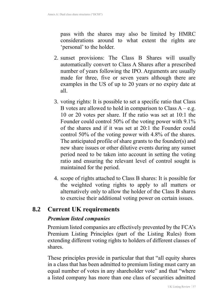pass with the shares may also be limited by HMRC considerations around to what extent the rights are 'personal' to the holder.

- 2. sunset provisions: The Class B Shares will usually automatically convert to Class A Shares after a prescribed number of years following the IPO. Arguments are usually made for three, five or seven years although there are examples in the US of up to 20 years or no expiry date at all.
- 3. voting rights: It is possible to set a specific ratio that Class B votes are allowed to hold in comparison to Class  $A - e.g.$ 10 or 20 votes per share. If the ratio was set at 10:1 the Founder could control 50% of the voting power with 9.1% of the shares and if it was set at 20:1 the Founder could control 50% of the voting power with 4.8% of the shares. The anticipated profile of share grants to the founder(s) and new share issues or other dilutive events during any sunset period need to be taken into account in setting the voting ratio and ensuring the relevant level of control sought is maintained for the period.
- 4. scope of rights attached to Class B shares: It is possible for the weighted voting rights to apply to all matters or alternatively only to allow the holder of the Class B shares to exercise their additional voting power on certain issues.

## **8.2 Current UK requirements**

#### *Premium listed companies*

Premium listed companies are effectively prevented by the FCA's Premium Listing Principles (part of the Listing Rules) from extending different voting rights to holders of different classes of shares.

These principles provide in particular that that "all equity shares" in a class that has been admitted to premium listing must carry an equal number of votes in any shareholder vote" and that "where a listed company has more than one class of securities admitted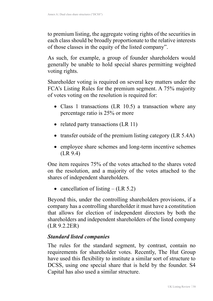to premium listing, the aggregate voting rights of the securities in each class should be broadly proportionate to the relative interests of those classes in the equity of the listed company".

As such, for example, a group of founder shareholders would generally be unable to hold special shares permitting weighted voting rights.

Shareholder voting is required on several key matters under the FCA's Listing Rules for the premium segment. A 75% majority of votes voting on the resolution is required for:

- Class 1 transactions (LR 10.5) a transaction where any percentage ratio is 25% or more
- related party transactions (LR 11)
- transfer outside of the premium listing category (LR 5.4A)
- employee share schemes and long-term incentive schemes (LR 9.4)

One item requires 75% of the votes attached to the shares voted on the resolution, and a majority of the votes attached to the shares of independent shareholders.

• cancellation of listing  $-$  (LR 5.2)

Beyond this, under the controlling shareholders provisions, if a company has a controlling shareholder it must have a constitution that allows for election of independent directors by both the shareholders and independent shareholders of the listed company (LR 9.2.2ER)

#### *Standard listed companies*

The rules for the standard segment, by contrast, contain no requirements for shareholder votes. Recently, The Hut Group have used this flexibility to institute a similar sort of structure to DCSS, using one special share that is held by the founder. S4 Capital has also used a similar structure.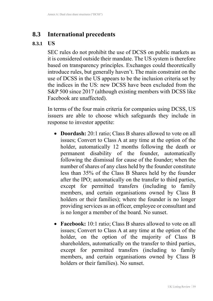## **8.3 International precedents**

#### **8.3.1 US**

SEC rules do not prohibit the use of DCSS on public markets as it is considered outside their mandate. The US system is therefore based on transparency principles. Exchanges could theoretically introduce rules, but generally haven't. The main constraint on the use of DCSS in the US appears to be the inclusion criteria set by the indices in the US: new DCSS have been excluded from the S&P 500 since 2017 (although existing members with DCSS like Facebook are unaffected).

In terms of the four main criteria for companies using DCSS, US issuers are able to choose which safeguards they include in response to investor appetite:

- **Doordash:** 20:1 ratio; Class B shares allowed to vote on all issues; Convert to Class A at any time at the option of the holder, automatically 12 months following the death or permanent disability of the founder, automatically following the dismissal for cause of the founder; when the number of shares of any class held by the founder constitute less than 35% of the Class B Shares held by the founder after the IPO; automatically on the transfer to third parties, except for permitted transfers (including to family members, and certain organisations owned by Class B holders or their families); where the founder is no longer providing services as an officer, employee or consultant and is no longer a member of the board. No sunset.
- **Facebook:** 10:1 ratio; Class B shares allowed to vote on all issues; Convert to Class A at any time at the option of the holder, on the option of the majority of Class B shareholders, automatically on the transfer to third parties, except for permitted transfers (including to family members, and certain organisations owned by Class B holders or their families). No sunset.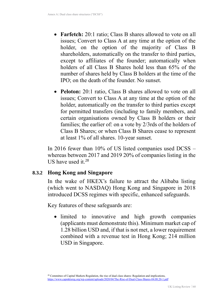- **Farfetch:** 20:1 ratio: Class B shares allowed to vote on all issues; Convert to Class A at any time at the option of the holder, on the option of the majority of Class B shareholders, automatically on the transfer to third parties, except to affiliates of the founder; automatically when holders of all Class B Shares hold less than 65% of the number of shares held by Class B holders at the time of the IPO; on the death of the founder. No sunset.
- **Peloton:** 20:1 ratio, Class B shares allowed to vote on all issues; Convert to Class A at any time at the option of the holder, automatically on the transfer to third parties except for permitted transfers (including to family members, and certain organisations owned by Class B holders or their families; the earlier of: on a vote by 2/3rds of the holders of Class B Shares; or when Class B Shares cease to represent at least 1% of all shares. 10-year sunset.

In 2016 fewer than 10% of US listed companies used DCSS – whereas between 2017 and 2019 20% of companies listing in the US have used it.<sup>28</sup>

#### **8.3.2 Hong Kong and Singapore**

In the wake of HKEX's failure to attract the Alibaba listing (which went to NASDAQ) Hong Kong and Singapore in 2018 introduced DCSS regimes with specific, enhanced safeguards.

Key features of these safeguards are:

• limited to innovative and high growth companies (applicants must demonstrate this). Minimum market cap of 1.28 billion USD and, if that is not met, a lower requirement combined with a revenue test in Hong Kong; 214 million USD in Singapore.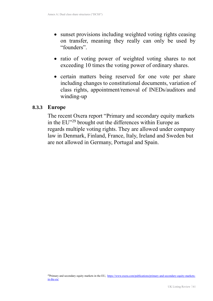- sunset provisions including weighted voting rights ceasing on transfer, meaning they really can only be used by "founders".
- ratio of voting power of weighted voting shares to not exceeding 10 times the voting power of ordinary shares.
- certain matters being reserved for one vote per share including changes to constitutional documents, variation of class rights, appointment/removal of INEDs/auditors and winding-up

#### **8.3.3 Europe**

The recent Oxera report "Primary and secondary equity markets in the EU"<sup>29</sup> brought out the differences within Europe as regards multiple voting rights. They are allowed under company law in Denmark, Finland, France, Italy, Ireland and Sweden but are not allowed in Germany, Portugal and Spain.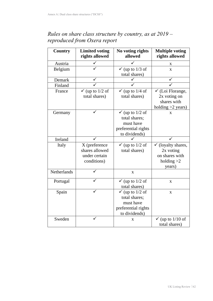### *Rules on share class structure by country, as at 2019 – reproduced from Oxera report*

| <b>Country</b> | <b>Limited voting</b><br>rights allowed | No voting rights<br>allowed | <b>Multiple voting</b><br>rights allowed |
|----------------|-----------------------------------------|-----------------------------|------------------------------------------|
| Austria        |                                         |                             | X                                        |
| Belgium        |                                         | $\checkmark$ (up to 1/3 of  | $\mathbf{X}$                             |
|                |                                         | total shares)               |                                          |
| Demark         |                                         |                             |                                          |
| Finland        |                                         |                             |                                          |
| France         | $\checkmark$ (up to 1/2 of              | $\checkmark$ (up to 1/4 of  | $\checkmark$ (Loi Florange,              |
|                | total shares)                           | total shares)               | 2x voting on                             |
|                |                                         |                             | shares with                              |
|                |                                         |                             | holding $>2$ years)                      |
| Germany        |                                         | $\checkmark$ (up to 1/2 of  | $\mathbf{X}$                             |
|                |                                         | total shares;               |                                          |
|                |                                         | must have                   |                                          |
|                |                                         | preferential rights         |                                          |
|                |                                         | to dividends)               |                                          |
| Ireland        |                                         |                             |                                          |
| Italy          | X (preference                           | $\checkmark$ (up to 1/2 of  | $\checkmark$ (loyalty shares,            |
|                | shares allowed                          | total shares)               | 2x voting                                |
|                | under certain                           |                             | on shares with                           |
|                | conditions)                             |                             | holding $>2$                             |
|                |                                         |                             | years)                                   |
| Netherlands    |                                         | X                           |                                          |
| Portugal       |                                         | $\checkmark$ (up to 1/2 of  | X                                        |
|                |                                         | total shares)               |                                          |
| Spain          |                                         | (up to $1/2$ of             | $\mathbf X$                              |
|                |                                         | total shares;               |                                          |
|                |                                         | must have                   |                                          |
|                |                                         | preferential rights         |                                          |
|                |                                         | to dividends)               |                                          |
| Sweden         |                                         | X                           | $\checkmark$ (up to 1/10 of              |
|                |                                         |                             | total shares)                            |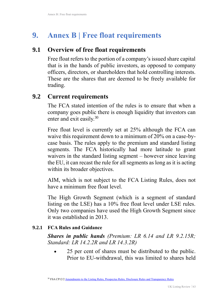# **9. Annex B | Free float requirements**

## **9.1 Overview of free float requirements**

Free float refers to the portion of a company's issued share capital that is in the hands of public investors, as opposed to company officers, directors, or shareholders that hold controlling interests. These are the shares that are deemed to be freely available for trading.

### **9.2 Current requirements**

The FCA stated intention of the rules is to ensure that when a company goes public there is enough liquidity that investors can enter and exit easily.<sup>30</sup>

Free float level is currently set at 25% although the FCA can waive this requirement down to a minimum of 20% on a case-bycase basis. The rules apply to the premium and standard listing segments. The FCA historically had more latitude to grant waivers in the standard listing segment – however since leaving the EU, it can recast the rule for all segments as long as it is acting within its broader objectives.

AIM, which is not subject to the FCA Listing Rules, does not have a minimum free float level.

The High Growth Segment (which is a segment of standard listing on the LSE) has a 10% free float level under LSE rules. Only two companies have used the High Growth Segment since it was established in 2013.

#### **9.2.1 FCA Rules and Guidance**

#### *Shares in public hands (Premium: LR 6.14 and LR 9.2.15R; Standard: LR 14.2.2R and LR 14.3.2R)*

• 25 per cent of shares must be distributed to the public. Prior to EU-withdrawal, this was limited to shares held

<sup>30</sup> FSA CP12/2 Amendments to the Listing Rules, Prospectus Rules, Disclosure Rules and Transparency Rules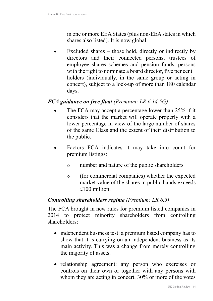in one or more EEA States (plus non-EEA states in which shares also listed). It is now global.

• Excluded shares – those held, directly or indirectly by directors and their connected persons, trustees of employee shares schemes and pension funds, persons with the right to nominate a board director, five per cent+ holders (individually, in the same group or acting in concert), subject to a lock-up of more than 180 calendar days.

#### *FCA guidance on free float (Premium: LR 6.14.5G)*

- The FCA may accept a percentage lower than 25% if it considers that the market will operate properly with a lower percentage in view of the large number of shares of the same Class and the extent of their distribution to the public.
- Factors FCA indicates it may take into count for premium listings:
	- o number and nature of the public shareholders
	- o (for commercial companies) whether the expected market value of the shares in public hands exceeds £100 million.

#### *Controlling shareholders regime (Premium: LR 6.5)*

The FCA brought in new rules for premium listed companies in 2014 to protect minority shareholders from controlling shareholders:

- independent business test: a premium listed company has to show that it is carrying on an independent business as its main activity. This was a change from merely controlling the majority of assets.
- relationship agreement: any person who exercises or controls on their own or together with any persons with whom they are acting in concert, 30% or more of the votes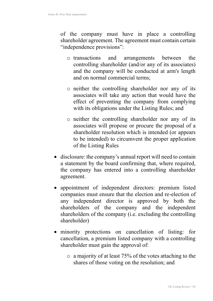of the company must have in place a controlling shareholder agreement. The agreement must contain certain "independence provisions":

- o transactions and arrangements between the controlling shareholder (and/or any of its associates) and the company will be conducted at arm's length and on normal commercial terms;
- o neither the controlling shareholder nor any of its associates will take any action that would have the effect of preventing the company from complying with its obligations under the Listing Rules; and
- o neither the controlling shareholder nor any of its associates will propose or procure the proposal of a shareholder resolution which is intended (or appears to be intended) to circumvent the proper application of the Listing Rules
- disclosure: the company's annual report will need to contain a statement by the board confirming that, where required, the company has entered into a controlling shareholder agreement.
- appointment of independent directors: premium listed companies must ensure that the election and re-election of any independent director is approved by both the shareholders of the company and the independent shareholders of the company (i.e. excluding the controlling shareholder)
- minority protections on cancellation of listing: for cancellation, a premium listed company with a controlling shareholder must gain the approval of:
	- o a majority of at least 75% of the votes attaching to the shares of those voting on the resolution; and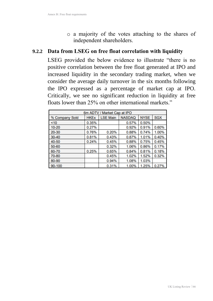o a majority of the votes attaching to the shares of independent shareholders.

#### **9.2.2 Data from LSEG on free float correlation with liquidity**

LSEG provided the below evidence to illustrate "there is no positive correlation between the free float generated at IPO and increased liquidity in the secondary trading market, when we consider the average daily turnover in the six months following the IPO expressed as a percentage of market cap at IPO. Critically, we see no significant reduction in liquidity at free floats lower than 25% on other international markets."

| 6m ADTV / Market Cap at IPO |             |                 |               |             |            |  |  |
|-----------------------------|-------------|-----------------|---------------|-------------|------------|--|--|
| % Company Sold              | <b>HKEx</b> | <b>LSE Main</b> | <b>NASDAQ</b> | <b>NYSE</b> | <b>SGX</b> |  |  |
| ~10                         | 0.35%       |                 | 0.57%         | 0.50%       |            |  |  |
| $10 - 20$                   | 0.27%       |                 | 0.92%         | 0.91%       | 0.60%      |  |  |
| 20-30                       | 0.76%       | 0.20%           | 0.88%         | 0.74%       | 1.00%      |  |  |
| $30 - 40$                   | 0.81%       | 0.43%           | 0.87%         | 1.01%       | 0.40%      |  |  |
| 40-50                       | 0.24%       | 0.45%           | 0.88%         | 0.75%       | 0.45%      |  |  |
| 50-60                       |             | 0.32%           | 1.06%         | 0.86%       | 0.17%      |  |  |
| 60-70                       | 0.25%       | 0.65%           | 0.84%         | 0.81%       | 0.18%      |  |  |
| 70-80                       |             | 0.45%           | 1.02%         | 1.52%       | 0.32%      |  |  |
| 80-90                       |             | 0.94%           | 1.08%         | 1.03%       |            |  |  |
| 90-100                      |             | 0.31%           | 1.00%         | 1.25%       | 0.27%      |  |  |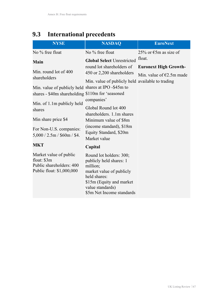## **9.3 International precedents**

| <b>NYSE</b>                                                                                             | <b>NASDAQ</b>                                                                                                                                                                           | <b>EuroNext</b>                        |
|---------------------------------------------------------------------------------------------------------|-----------------------------------------------------------------------------------------------------------------------------------------------------------------------------------------|----------------------------------------|
| No % free float                                                                                         | No % free float                                                                                                                                                                         | 25% or $\epsilon$ 5m as size of        |
| Main                                                                                                    | <b>Global Select Unrestricted</b><br>round lot shareholders of                                                                                                                          | float.<br><b>Euronext High Growth-</b> |
| Min. round lot of 400<br>shareholders                                                                   | 450 or 2,200 shareholders<br>Min. value of publicly held available to trading                                                                                                           | Min. value of $E2.5m$ made             |
| Min. value of publicly held shares at IPO -\$45m to<br>shares - \$40m shareholding \$110m for 'seasoned | companies'                                                                                                                                                                              |                                        |
| Min. of 1.1m publicly held<br>shares                                                                    | Global Round lot 400<br>shareholders. 1.1m shares                                                                                                                                       |                                        |
| Min share price \$4                                                                                     | Minimum value of \$8m                                                                                                                                                                   |                                        |
| For Non-U.S. companies:<br>5,000 / 2.5m / \$60m / \$4.                                                  | (income standard), \$18m<br>Equity Standard, \$20m<br>Market value                                                                                                                      |                                        |
| <b>MKT</b>                                                                                              | Capital                                                                                                                                                                                 |                                        |
| Market value of public<br>float: \$3m<br>Public shareholders: 400<br>Public float: \$1,000,000          | Round lot holders: 300;<br>publicly held shares: 1<br>million;<br>market value of publicly<br>held shares:<br>\$15m (Equity and market<br>value standards)<br>\$5m Net Income standards |                                        |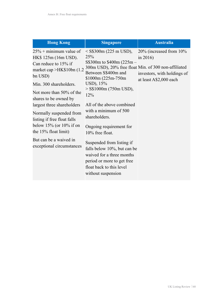| <b>Hong Kong</b>                                                                                                                                                                                                                                                                                                                                                                                            | <b>Singapore</b>                                                                                                                                                                                                                                                                                                                                                                                                                                                                                                      | <b>Australia</b>                                                                                      |
|-------------------------------------------------------------------------------------------------------------------------------------------------------------------------------------------------------------------------------------------------------------------------------------------------------------------------------------------------------------------------------------------------------------|-----------------------------------------------------------------------------------------------------------------------------------------------------------------------------------------------------------------------------------------------------------------------------------------------------------------------------------------------------------------------------------------------------------------------------------------------------------------------------------------------------------------------|-------------------------------------------------------------------------------------------------------|
| $25% +$ minimum value of<br>HK\$ 125m (16m USD).<br>Can reduce to 15% if<br>market cap >HK\$10bn (1.2)<br>bn USD)<br>Min. 300 shareholders.<br>Not more than 50% of the<br>shares to be owned by<br>largest three shareholders<br>Normally suspended from<br>listing if free float falls<br>below $15\%$ (or $10\%$ if on<br>the $15\%$ float limit)<br>But can be a waived in<br>exceptional circumstances | $<$ S\$300m (225 m USD),<br>25%<br>S\$300m to $$400m (225m -$<br>300m USD), 20% free float Min. of 300 non-affiliated<br>Between S\$400m and<br>$$1000m (225m-750m)$<br>USD), 15%<br>$>$ S\$1000m (750m USD),<br>12%<br>All of the above combined<br>with a minimum of 500<br>shareholders.<br>Ongoing requirement for<br>$10\%$ free float.<br>Suspended from listing if<br>falls below 10%, but can be<br>waived for a three months<br>period or more to get free<br>float back to this level<br>without suspension | $20\%$ (increased from $10\%$<br>in $2016$ )<br>investors, with holdings of<br>at least A\$2,000 each |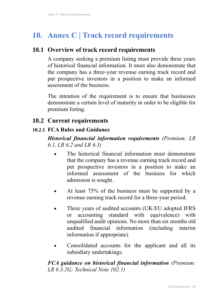# **10. Annex C | Track record requirements**

### **10.1 Overview of track record requirements**

A company seeking a premium listing must provide three years of historical financial information. It must also demonstrate that the company has a three-year revenue earning track record and put prospective investors in a position to make an informed assessment of the business.

The intention of the requirement is to ensure that businesses demonstrate a certain level of maturity in order to be eligible for premium listing.

### **10.2 Current requirements**

#### **10.2.1 FCA Rules and Guidance**

*Historical financial information requirements (Premium: LR 6.1, LR 6.2 and LR 6.3)*

- The historical financial information must demonstrate that the company has a revenue earning track record and put prospective investors in a position to make an informed assessment of the business for which admission is sought.
- At least 75% of the business must be supported by a revenue earning track record for a three-year period.
- Three years of audited accounts (UK/EU adopted IFRS or accounting standard with equivalence) with unqualified audit opinions. No more than six months old audited financial information (including interim information if appropriate)
- Consolidated accounts for the applicant and all its subsidiary undertakings.

*FCA guidance on historical financial information (Premium: LR 6.3.2G; Technical Note 102.1)*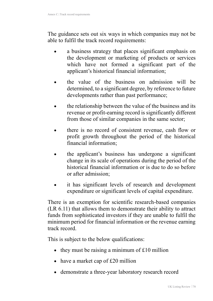The guidance sets out six ways in which companies may not be able to fulfil the track record requirements:

- a business strategy that places significant emphasis on the development or marketing of products or services which have not formed a significant part of the applicant's historical financial information;
- the value of the business on admission will be determined, to a significant degree, by reference to future developments rather than past performance;
- the relationship between the value of the business and its revenue or profit-earning record is significantly different from those of similar companies in the same sector;
- there is no record of consistent revenue, cash flow or profit growth throughout the period of the historical financial information;
- the applicant's business has undergone a significant change in its scale of operations during the period of the historical financial information or is due to do so before or after admission;
- it has significant levels of research and development expenditure or significant levels of capital expenditure.

There is an exemption for scientific research-based companies (LR 6.11) that allows them to demonstrate their ability to attract funds from sophisticated investors if they are unable to fulfil the minimum period for financial information or the revenue earning track record.

This is subject to the below qualifications:

- they must be raising a minimum of  $£10$  million
- have a market cap of £20 million
- demonstrate a three-year laboratory research record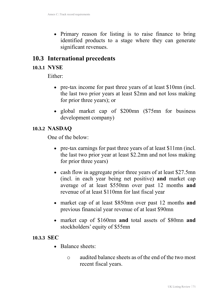• Primary reason for listing is to raise finance to bring identified products to a stage where they can generate significant revenues.

## **10.3 International precedents**

### **10.3.1 NYSE**

Either:

- pre-tax income for past three years of at least \$10mn (incl.) the last two prior years at least \$2mn and not loss making for prior three years); or
- global market cap of \$200mn (\$75mn for business development company)

### **10.3.2 NASDAQ**

One of the below:

- pre-tax earnings for past three years of at least \$11mn (incl. the last two prior year at least \$2.2mn and not loss making for prior three years)
- cash flow in aggregate prior three years of at least \$27.5mn (incl. in each year being net positive) **and** market cap average of at least \$550mn over past 12 months **and** revenue of at least \$110mn for last fiscal year
- market cap of at least \$850mn over past 12 months **and** previous financial year revenue of at least \$90mn
- market cap of \$160mn **and** total assets of \$80mn **and** stockholders' equity of \$55mn

### **10.3.3 SEC**

- Balance sheets:
	- o audited balance sheets as of the end of the two most recent fiscal years.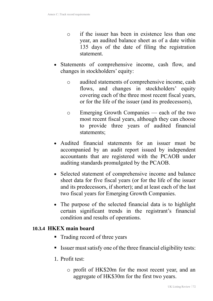- o if the issuer has been in existence less than one year, an audited balance sheet as of a date within 135 days of the date of filing the registration statement.
- Statements of comprehensive income, cash flow, and changes in stockholders' equity:
	- o audited statements of comprehensive income, cash flows, and changes in stockholders' equity covering each of the three most recent fiscal years, or for the life of the issuer (and its predecessors),
	- o Emerging Growth Companies each of the two most recent fiscal years, although they can choose to provide three years of audited financial statements;
- Audited financial statements for an issuer must be accompanied by an audit report issued by independent accountants that are registered with the PCAOB under auditing standards promulgated by the PCAOB.
- Selected statement of comprehensive income and balance sheet data for five fiscal years (or for the life of the issuer and its predecessors, if shorter); and at least each of the last two fiscal years for Emerging Growth Companies.
- The purpose of the selected financial data is to highlight certain significant trends in the registrant's financial condition and results of operations.

### **10.3.4 HKEX main board**

- Trading record of three years
- Issuer must satisfy one of the three financial eligibility tests:
- 1. Profit test:
	- o profit of HK\$20m for the most recent year, and an aggregate of HK\$30m for the first two years.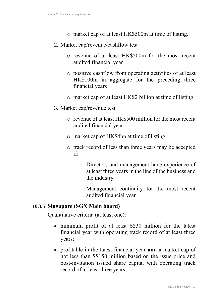- o market cap of at least HK\$500m at time of listing.
- 2. Market cap/revenue/cashflow test
	- o revenue of at least HK\$500m for the most recent audited financial year
	- o positive cashflow from operating activities of at least HK\$100m in aggregate for the preceding three financial years
	- o market cap of at least HK\$2 billion at time of listing
- 3. Market cap/revenue test
	- $\circ$  revenue of at least HK\$500 million for the most recent audited financial year
	- o market cap of HK\$4bn at time of listing
	- o track record of less than three years may be accepted if:
		- Directors and management have experience of at least three years in the line of the business and the industry
		- Management continuity for the most recent audited financial year.

### **10.3.5 Singapore (SGX Main board)**

Quantitative criteria (at least one):

- minimum profit of at least S\$30 million for the latest financial year with operating track record of at least three years;
- profitable in the latest financial year **and** a market cap of not less than S\$150 million based on the issue price and post-invitation issued share capital with operating track record of at least three years;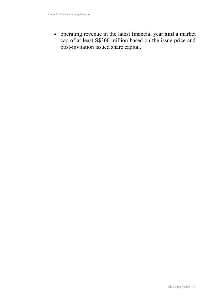• operating revenue in the latest financial year **and** a market cap of at least S\$300 million based on the issue price and post-invitation issued share capital.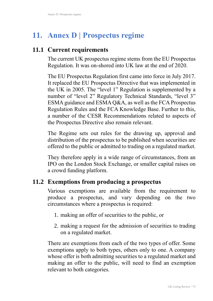# **11. Annex D | Prospectus regime**

## **11.1 Current requirements**

The current UK prospectus regime stems from the EU Prospectus Regulation. It was on-shored into UK law at the end of 2020.

The EU Prospectus Regulation first came into force in July 2017. It replaced the EU Prospectus Directive that was implemented in the UK in 2005. The "level 1" Regulation is supplemented by a number of "level 2" Regulatory Technical Standards, "level 3" ESMA guidance and ESMA Q&A, as well as the FCA Prospectus Regulation Rules and the FCA Knowledge Base. Further to this, a number of the CESR Recommendations related to aspects of the Prospectus Directive also remain relevant.

The Regime sets out rules for the drawing up, approval and distribution of the prospectus to be published when securities are offered to the public or admitted to trading on a regulated market.

They therefore apply in a wide range of circumstances, from an IPO on the London Stock Exchange, or smaller capital raises on a crowd funding platform.

# **11.2 Exemptions from producing a prospectus**

Various exemptions are available from the requirement to produce a prospectus, and vary depending on the two circumstances where a prospectus is required:

- 1. making an offer of securities to the public, or
- 2. making a request for the admission of securities to trading on a regulated market.

There are exemptions from each of the two types of offer. Some exemptions apply to both types, others only to one. A company whose offer is both admitting securities to a regulated market and making an offer to the public, will need to find an exemption relevant to both categories.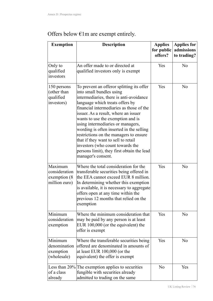| <b>Exemption</b>                                           | <b>Description</b>                                                                                                                                                                                                                                                                                                                                                                                                                                                                                                                                     | <b>Applies</b><br>for public<br>offers? | <b>Applies for</b><br>admissions<br>to trading? |
|------------------------------------------------------------|--------------------------------------------------------------------------------------------------------------------------------------------------------------------------------------------------------------------------------------------------------------------------------------------------------------------------------------------------------------------------------------------------------------------------------------------------------------------------------------------------------------------------------------------------------|-----------------------------------------|-------------------------------------------------|
| Only to<br>qualified<br>investors                          | An offer made to or directed at<br>qualified investors only is exempt                                                                                                                                                                                                                                                                                                                                                                                                                                                                                  | Yes                                     | No                                              |
| 150 persons<br>(other than<br>qualified<br>investors)      | To prevent an offeror splitting its offer<br>into small bundles using<br>intermediaries, there is anti-avoidance<br>language which treats offers by<br>financial intermediaries as those of the<br>issuer. As a result, where an issuer<br>wants to use the exemption and is<br>using intermediaries or managers,<br>wording is often inserted in the selling<br>restrictions on the managers to ensure<br>that if they want to sell to retail<br>investors (who count towards the<br>persons limit), they first obtain the lead<br>manager's consent. | Yes                                     | N <sub>o</sub>                                  |
| Maximum<br>consideration<br>exemption (8)<br>million euro) | Where the total consideration for the<br>transferable securities being offered in<br>the EEA cannot exceed EUR 8 million.<br>In determining whether this exemption<br>is available, it is necessary to aggregate<br>offers open at any time within the<br>previous 12 months that relied on the<br>exemption                                                                                                                                                                                                                                           | Yes                                     | N <sub>o</sub>                                  |
| Minimum<br>consideration<br>exemption                      | Where the minimum consideration that<br>may be paid by any person is at least<br>EUR 100,000 (or the equivalent) the<br>offer is exempt                                                                                                                                                                                                                                                                                                                                                                                                                | <b>Yes</b>                              | N <sub>o</sub>                                  |
| Minimum<br>denomination<br>exemption<br>(wholesale)        | Where the transferable securities being<br>offered are denominated in amounts of<br>at least EUR 100,000 (or the<br>equivalent) the offer is exempt                                                                                                                                                                                                                                                                                                                                                                                                    | Yes                                     | No                                              |
| of a class<br>already                                      | Less than 20% The exemption applies to securities<br>fungible with securities already<br>admitted to trading on the same                                                                                                                                                                                                                                                                                                                                                                                                                               | No                                      | <b>Yes</b>                                      |

# Offers below  $€1m$  are exempt entirely.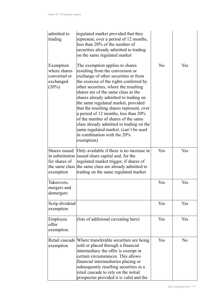| admitted to<br>trading                                          | regulated market provided that they<br>represent, over a period of 12 months,<br>less than 20% of the number of<br>securities already admitted to trading<br>on the same regulated market                                                                                                                                                                                                                                                                                                                                                                                               |                |                |
|-----------------------------------------------------------------|-----------------------------------------------------------------------------------------------------------------------------------------------------------------------------------------------------------------------------------------------------------------------------------------------------------------------------------------------------------------------------------------------------------------------------------------------------------------------------------------------------------------------------------------------------------------------------------------|----------------|----------------|
| Exemption<br>where shares<br>converted or<br>exchanged<br>(20%) | The exemption applies to shares<br>resulting from the conversion or<br>exchange of other securities or from<br>the exercise of the rights conferred by<br>other securities, where the resulting<br>shares are of the same class as the<br>shares already admitted to trading on<br>the same regulated market, provided<br>that the resulting shares represent, over<br>a period of 12 months, less than 20%<br>of the number of shares of the same<br>class already admitted to trading on the<br>same regulated market. (can't be used<br>in combination with the $20\%$<br>exemption) | N <sub>o</sub> | Yes            |
| Shares issued<br>for shares of<br>exemption                     | Only available if there is no increase in<br>in substitution issued share capital and, for the<br>regulated market trigger, if shares of<br>the same class the same class are already admitted to<br>trading on the same regulated market                                                                                                                                                                                                                                                                                                                                               | Yes            | Yes            |
| Takeovers,<br>mergers and<br>demergers                          |                                                                                                                                                                                                                                                                                                                                                                                                                                                                                                                                                                                         | Yes            | Yes            |
| Scrip dividend<br>exemption                                     |                                                                                                                                                                                                                                                                                                                                                                                                                                                                                                                                                                                         | Yes            | <b>Yes</b>     |
| Employee<br>offer<br>exemption.                                 | (lots of additional caveating here)                                                                                                                                                                                                                                                                                                                                                                                                                                                                                                                                                     | Yes            | Yes            |
| exemption                                                       | Retail cascade Where transferable securities are being<br>sold or placed through a financial<br>intermediary the offer is exempt in<br>certain circumstances. This allows<br>financial intermediaries placing or<br>subsequently reselling securities in a<br>retail cascade to rely on the initial<br>prospectus provided it is valid and the                                                                                                                                                                                                                                          | Yes            | N <sub>o</sub> |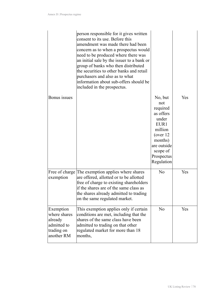|                                                                                 | person responsible for it gives written<br>consent to its use. Before this<br>amendment was made there had been<br>concern as to when a prospectus would<br>need to be produced where there was<br>an initial sale by the issuer to a bank or<br>group of banks who then distributed<br>the securities to other banks and retail<br>purchasers and also as to what<br>information about sub-offers should be<br>included in the prospectus. |                                                                                                                                                     |     |
|---------------------------------------------------------------------------------|---------------------------------------------------------------------------------------------------------------------------------------------------------------------------------------------------------------------------------------------------------------------------------------------------------------------------------------------------------------------------------------------------------------------------------------------|-----------------------------------------------------------------------------------------------------------------------------------------------------|-----|
| Bonus issues                                                                    |                                                                                                                                                                                                                                                                                                                                                                                                                                             | No, but<br>not<br>required<br>as offers<br>under<br>EUR1<br>million<br>(over $12$<br>months)<br>are outside<br>scope of<br>Prospectus<br>Regulation | Yes |
| exemption                                                                       | Free of charge The exemption applies where shares<br>are offered, allotted or to be allotted<br>free of charge to existing shareholders<br>if the shares are of the same class as<br>the shares already admitted to trading<br>on the same regulated market.                                                                                                                                                                                | N <sub>o</sub>                                                                                                                                      | Yes |
| Exemption<br>where shares<br>already<br>admitted to<br>trading on<br>another RM | This exemption applies only if certain<br>conditions are met, including that the<br>shares of the same class have been<br>admitted to trading on that other<br>regulated market for more than 18<br>months,                                                                                                                                                                                                                                 | N <sub>o</sub>                                                                                                                                      | Yes |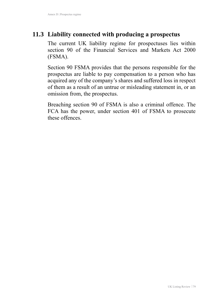# **11.3 Liability connected with producing a prospectus**

The current UK liability regime for prospectuses lies within section 90 of the Financial Services and Markets Act 2000 (FSMA).

Section 90 FSMA provides that the persons responsible for the prospectus are liable to pay compensation to a person who has acquired any of the company's shares and suffered loss in respect of them as a result of an untrue or misleading statement in, or an omission from, the prospectus.

Breaching section 90 of FSMA is also a criminal offence. The FCA has the power, under section 401 of FSMA to prosecute these offences.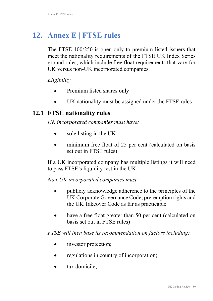# **12. Annex E | FTSE rules**

The FTSE 100/250 is open only to premium listed issuers that meet the nationality requirements of the FTSE UK Index Series ground rules, which include free float requirements that vary for UK versus non-UK incorporated companies.

*Eligibility*

- Premium listed shares only
- UK nationality must be assigned under the FTSE rules

## **12.1 FTSE nationality rules**

*UK incorporated companies must have:* 

- sole listing in the UK
- minimum free float of 25 per cent (calculated on basis set out in FTSE rules)

If a UK incorporated company has multiple listings it will need to pass FTSE's liquidity test in the UK.

*Non-UK incorporated companies must:* 

- publicly acknowledge adherence to the principles of the UK Corporate Governance Code, pre-emption rights and the UK Takeover Code as far as practicable
- have a free float greater than 50 per cent (calculated on basis set out in FTSE rules)

*FTSE will then base its recommendation on factors including:*

- investor protection;
- regulations in country of incorporation;
- tax domicile;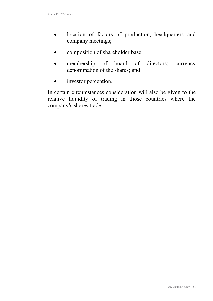- location of factors of production, headquarters and company meetings;
- composition of shareholder base;
- membership of board of directors; currency denomination of the shares; and
- investor perception.

In certain circumstances consideration will also be given to the relative liquidity of trading in those countries where the company's shares trade.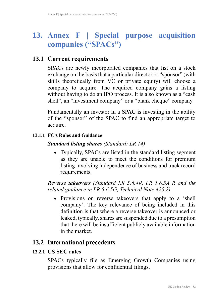# **13. Annex F | Special purpose acquisition companies ("SPACs")**

### **13.1 Current requirements**

SPACs are newly incorporated companies that list on a stock exchange on the basis that a particular director or "sponsor" (with skills theoretically from VC or private equity) will choose a company to acquire. The acquired company gains a listing without having to do an IPO process. It is also known as a "cash" shell", an "investment company" or a "blank cheque" company.

Fundamentally an investor in a SPAC is investing in the ability of the "sponsor" of the SPAC to find an appropriate target to acquire.

#### **13.1.1 FCA Rules and Guidance**

#### *Standard listing shares (Standard: LR 14)*

• Typically, SPACs are listed in the standard listing segment as they are unable to meet the conditions for premium listing involving independence of business and track record requirements.

*Reverse takeovers (Standard LR 5.6.4R, LR 5.6.5A R and the related guidance in LR 5.6.5G, Technical Note 420.2)*

• Provisions on reverse takeovers that apply to a 'shell company'. The key relevance of being included in this definition is that where a reverse takeover is announced or leaked, typically, shares are suspended due to a presumption that there will be insufficient publicly available information in the market.

### **13.2 International precedents**

#### **13.2.1 US SEC rules**

SPACs typically file as Emerging Growth Companies using provisions that allow for confidential filings.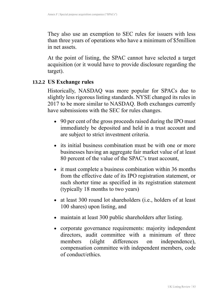They also use an exemption to SEC rules for issuers with less than three years of operations who have a minimum of \$5million in net assets.

At the point of listing, the SPAC cannot have selected a target acquisition (or it would have to provide disclosure regarding the target).

### **13.2.2 US Exchange rules**

Historically, NASDAQ was more popular for SPACs due to slightly less rigorous listing standards. NYSE changed its rules in 2017 to be more similar to NASDAQ. Both exchanges currently have submissions with the SEC for rules changes.

- 90 per cent of the gross proceeds raised during the IPO must immediately be deposited and held in a trust account and are subject to strict investment criteria.
- its initial business combination must be with one or more businesses having an aggregate fair market value of at least 80 percent of the value of the SPAC's trust account,
- it must complete a business combination within 36 months from the effective date of its IPO registration statement, or such shorter time as specified in its registration statement (typically 18 months to two years)
- at least 300 round lot shareholders (i.e., holders of at least 100 shares) upon listing, and
- maintain at least 300 public shareholders after listing.
- corporate governance requirements: majority independent directors, audit committee with a minimum of three members (slight differences on independence), compensation committee with independent members, code of conduct/ethics.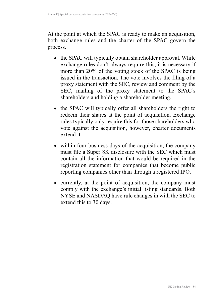At the point at which the SPAC is ready to make an acquisition, both exchange rules and the charter of the SPAC govern the process.

- the SPAC will typically obtain shareholder approval. While exchange rules don't always require this, it is necessary if more than 20% of the voting stock of the SPAC is being issued in the transaction. The vote involves the filing of a proxy statement with the SEC, review and comment by the SEC, mailing of the proxy statement to the SPAC's shareholders and holding a shareholder meeting.
- the SPAC will typically offer all shareholders the right to redeem their shares at the point of acquisition. Exchange rules typically only require this for those shareholders who vote against the acquisition, however, charter documents extend it.
- within four business days of the acquisition, the company must file a Super 8K disclosure with the SEC which must contain all the information that would be required in the registration statement for companies that become public reporting companies other than through a registered IPO.
- currently, at the point of acquisition, the company must comply with the exchange's initial listing standards. Both NYSE and NASDAQ have rule changes in with the SEC to extend this to 30 days.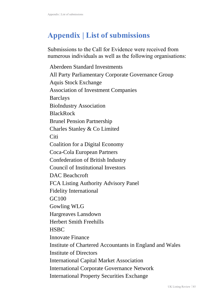# **Appendix | List of submissions**

Submissions to the Call for Evidence were received from numerous individuals as well as the following organisations:

Aberdeen Standard Investments All Party Parliamentary Corporate Governance Group Aquis Stock Exchange Association of Investment Companies Barclays BioIndustry Association BlackRock Brunel Pension Partnership Charles Stanley & Co Limited **Citi** Coalition for a Digital Economy Coca-Cola European Partners Confederation of British Industry Council of Institutional Investors DAC Beachcroft FCA Listing Authority Advisory Panel Fidelity International GC100 Gowling WLG Hargreaves Lansdown Herbert Smith Freehills **HSBC** Innovate Finance Institute of Chartered Accountants in England and Wales Institute of Directors International Capital Market Association International Corporate Governance Network International Property Securities Exchange